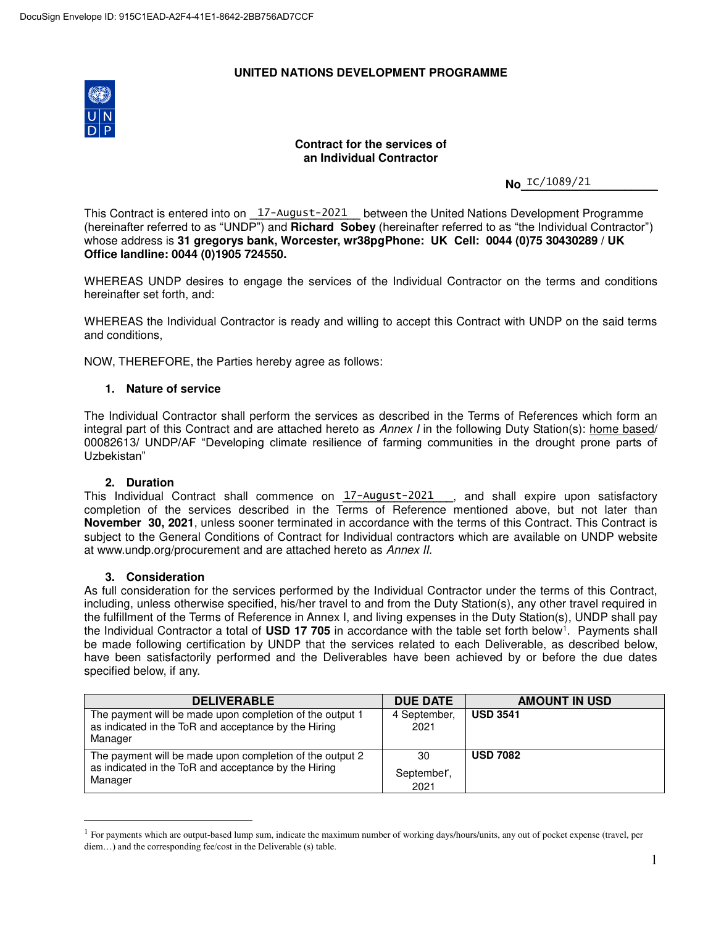### **UNITED NATIONS DEVELOPMENT PROGRAMME**



### **Contract for the services of an Individual Contractor**

**No\_<sup>IC/1089/21\_\_\_\_\_\_\_\_\_**</sup>

This Contract is entered into on <u>17-August-2021</u> between the United Nations Development Programme (hereinafter referred to as "UNDP") and **Richard Sobey** (hereinafter referred to as "the Individual Contractor") whose address is **31 gregorys bank, Worcester, wr38pgPhone: UK Cell: 0044 (0)75 30430289 / UK Office landline: 0044 (0)1905 724550.**

WHEREAS UNDP desires to engage the services of the Individual Contractor on the terms and conditions hereinafter set forth, and:

WHEREAS the Individual Contractor is ready and willing to accept this Contract with UNDP on the said terms and conditions,

NOW, THEREFORE, the Parties hereby agree as follows:

#### **1. Nature of service**

The Individual Contractor shall perform the services as described in the Terms of References which form an integral part of this Contract and are attached hereto as Annex I in the following Duty Station(s): home based/ 00082613/ UNDP/AF "Developing climate resilience of farming communities in the drought prone parts of Uzbekistan"

#### **2. Duration**

This Individual Contract shall commence on <u>17-August-2021</u> , and shall expire upon satisfactory completion of the services described in the Terms of Reference mentioned above, but not later than **November 30, 2021**, unless sooner terminated in accordance with the terms of this Contract. This Contract is subject to the General Conditions of Contract for Individual contractors which are available on UNDP website at www.undp.org/procurement and are attached hereto as Annex II.

#### **3. Consideration**

 $\overline{a}$ 

As full consideration for the services performed by the Individual Contractor under the terms of this Contract, including, unless otherwise specified, his/her travel to and from the Duty Station(s), any other travel required in the fulfillment of the Terms of Reference in Annex I, and living expenses in the Duty Station(s), UNDP shall pay the Individual Contractor a total of USD 17 705 in accordance with the table set forth below<sup>1</sup>. Payments shall be made following certification by UNDP that the services related to each Deliverable, as described below, have been satisfactorily performed and the Deliverables have been achieved by or before the due dates specified below, if any.

| <b>DELIVERABLE</b>                                                                                                          | <b>DUE DATE</b>      | <b>AMOUNT IN USD</b> |
|-----------------------------------------------------------------------------------------------------------------------------|----------------------|----------------------|
| The payment will be made upon completion of the output 1<br>as indicated in the ToR and acceptance by the Hiring<br>Manager | 4 September,<br>2021 | <b>USD 3541</b>      |
| The payment will be made upon completion of the output 2                                                                    | 30                   | <b>USD 7082</b>      |
| as indicated in the ToR and acceptance by the Hiring<br>Manager                                                             | September,<br>2021   |                      |

<sup>&</sup>lt;sup>1</sup> For payments which are output-based lump sum, indicate the maximum number of working days/hours/units, any out of pocket expense (travel, per diem...) and the corresponding fee/cost in the Deliverable (s) table.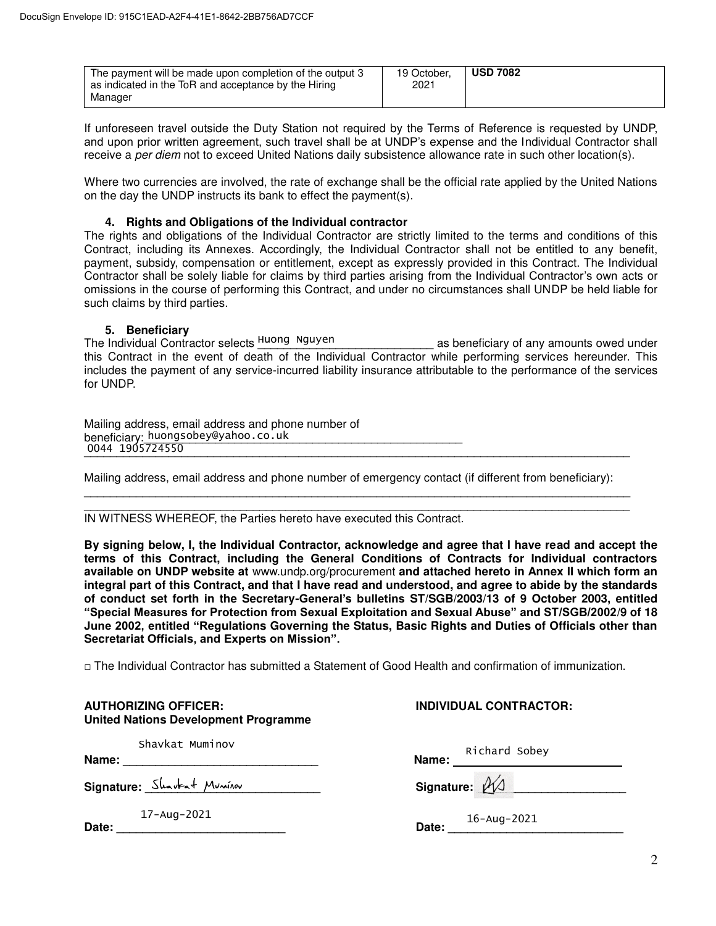| The payment will be made upon completion of the output 3<br>as indicated in the ToR and acceptance by the Hiring | 19 October.<br>2021 | <b>USD 7082</b> |
|------------------------------------------------------------------------------------------------------------------|---------------------|-----------------|
| Manager                                                                                                          |                     |                 |

If unforeseen travel outside the Duty Station not required by the Terms of Reference is requested by UNDP, and upon prior written agreement, such travel shall be at UNDP's expense and the Individual Contractor shall receive a per diem not to exceed United Nations daily subsistence allowance rate in such other location(s).

Where two currencies are involved, the rate of exchange shall be the official rate applied by the United Nations on the day the UNDP instructs its bank to effect the payment(s).

#### **4. Rights and Obligations of the Individual contractor**

The rights and obligations of the Individual Contractor are strictly limited to the terms and conditions of this Contract, including its Annexes. Accordingly, the Individual Contractor shall not be entitled to any benefit, payment, subsidy, compensation or entitlement, except as expressly provided in this Contract. The Individual Contractor shall be solely liable for claims by third parties arising from the Individual Contractor's own acts or omissions in the course of performing this Contract, and under no circumstances shall UNDP be held liable for such claims by third parties.

#### **5. Beneficiary**

The Individual Contractor selects \_\_\_\_\_\_\_\_\_\_\_\_\_\_\_\_\_\_\_\_\_\_\_\_\_\_\_ as beneficiary of any amounts owed under Huong Nguyen this Contract in the event of death of the Individual Contractor while performing services hereunder. This includes the payment of any service-incurred liability insurance attributable to the performance of the services for UNDP.

| Mailing address, email address and phone number of |
|----------------------------------------------------|
| beneficiary: huongsobey@yahoo.co.uk                |
| 0044 1905724550                                    |

Mailing address, email address and phone number of emergency contact (if different from beneficiary):

\_\_\_\_\_\_\_\_\_\_\_\_\_\_\_\_\_\_\_\_\_\_\_\_\_\_\_\_\_\_\_\_\_\_\_\_\_\_\_\_\_\_\_\_\_\_\_\_\_\_\_\_\_\_\_\_\_\_\_\_\_\_\_\_\_\_\_\_\_\_\_\_\_\_\_\_\_\_\_\_\_\_\_\_

#### \_\_\_\_\_\_\_\_\_\_\_\_\_\_\_\_\_\_\_\_\_\_\_\_\_\_\_\_\_\_\_\_\_\_\_\_\_\_\_\_\_\_\_\_\_\_\_\_\_\_\_\_\_\_\_\_\_\_\_\_\_\_\_\_\_\_\_\_\_\_\_\_\_\_\_\_\_\_\_\_\_\_\_\_ IN WITNESS WHEREOF, the Parties hereto have executed this Contract.

**By signing below, I, the Individual Contractor, acknowledge and agree that I have read and accept the terms of this Contract, including the General Conditions of Contracts for Individual contractors available on UNDP website at** www.undp.org/procurement **and attached hereto in Annex II which form an integral part of this Contract, and that I have read and understood, and agree to abide by the standards of conduct set forth in the Secretary-General's bulletins ST/SGB/2003/13 of 9 October 2003, entitled "Special Measures for Protection from Sexual Exploitation and Sexual Abuse" and ST/SGB/2002/9 of 18 June 2002, entitled "Regulations Governing the Status, Basic Rights and Duties of Officials other than Secretariat Officials, and Experts on Mission".**

 $\Box$  The Individual Contractor has submitted a Statement of Good Health and confirmation of immunization.

| <b>AUTHORIZING OFFICER:</b><br><b>United Nations Development Programme</b>                                                                         | <b>INDIVIDUAL CONTRACTOR:</b> |
|----------------------------------------------------------------------------------------------------------------------------------------------------|-------------------------------|
| Shavkat Muminov                                                                                                                                    | Richard Sobey                 |
| Signature: Shavkat Muninov                                                                                                                         | Signature: 21                 |
| $17 - Aug - 2021$<br>Date:<br><u> 1980 - Jan Samuel Barbara, político establecente de la propia de la propia de la propia de la propia de la p</u> | Date: $16 - Aug - 2021$       |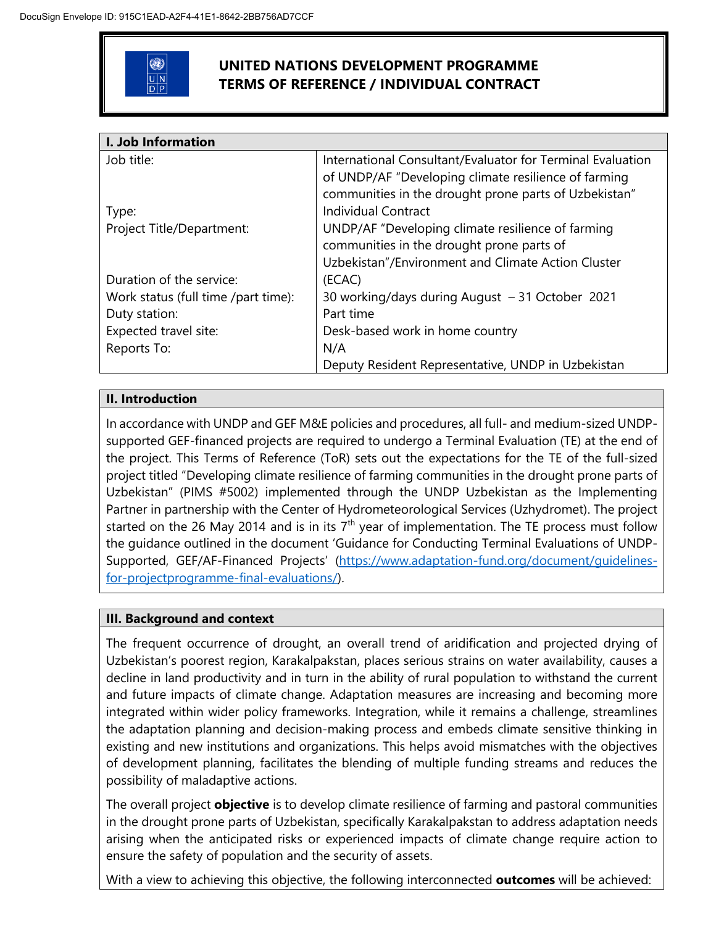

# **UNITED NATIONS DEVELOPMENT PROGRAMME TERMS OF REFERENCE / INDIVIDUAL CONTRACT**

| I. Job Information                  |                                                            |  |  |
|-------------------------------------|------------------------------------------------------------|--|--|
| Job title:                          | International Consultant/Evaluator for Terminal Evaluation |  |  |
|                                     | of UNDP/AF "Developing climate resilience of farming       |  |  |
|                                     | communities in the drought prone parts of Uzbekistan"      |  |  |
| Type:                               | <b>Individual Contract</b>                                 |  |  |
| Project Title/Department:           | UNDP/AF "Developing climate resilience of farming          |  |  |
|                                     | communities in the drought prone parts of                  |  |  |
|                                     | Uzbekistan"/Environment and Climate Action Cluster         |  |  |
| Duration of the service:            | (ECAC)                                                     |  |  |
| Work status (full time /part time): | 30 working/days during August - 31 October 2021            |  |  |
| Duty station:                       | Part time                                                  |  |  |
| Expected travel site:               | Desk-based work in home country                            |  |  |
| Reports To:                         | N/A                                                        |  |  |
|                                     | Deputy Resident Representative, UNDP in Uzbekistan         |  |  |

# **II. Introduction**

In accordance with UNDP and GEF M&E policies and procedures, all full- and medium-sized UNDPsupported GEF-financed projects are required to undergo a Terminal Evaluation (TE) at the end of the project. This Terms of Reference (ToR) sets out the expectations for the TE of the full-sized project titled "Developing climate resilience of farming communities in the drought prone parts of Uzbekistan" (PIMS #5002) implemented through the UNDP Uzbekistan as the Implementing Partner in partnership with the Center of Hydrometeorological Services (Uzhydromet). The project started on the 26 May 2014 and is in its  $7<sup>th</sup>$  year of implementation. The TE process must follow the guidance outlined in the document 'Guidance for Conducting Terminal Evaluations of UNDP-Supported, GEF/AF-Financed Projects' [\(https://www.adaptation-fund.org/document/guidelines](https://eur03.safelinks.protection.outlook.com/?url=https%3A%2F%2Fwww.adaptation-fund.org%2Fdocument%2Fguidelines-for-projectprogramme-final-evaluations%2F&data=04%7C01%7Crano.baykhanova%40undp.org%7C16322c54a0a64ea7f57a08d8d3ff2acc%7Cb3e5db5e2944483799f57488ace54319%7C0%7C0%7C637492440548722295%7CUnknown%7CTWFpbGZsb3d8eyJWIjoiMC4wLjAwMDAiLCJQIjoiV2luMzIiLCJBTiI6Ik1haWwiLCJXVCI6Mn0%3D%7C1000&sdata=E%2FReePeZDJR7QInWL16X1vxgLEEPeDWcd2%2B9uCt04Jk%3D&reserved=0)[for-projectprogramme-final-evaluations/\)](https://eur03.safelinks.protection.outlook.com/?url=https%3A%2F%2Fwww.adaptation-fund.org%2Fdocument%2Fguidelines-for-projectprogramme-final-evaluations%2F&data=04%7C01%7Crano.baykhanova%40undp.org%7C16322c54a0a64ea7f57a08d8d3ff2acc%7Cb3e5db5e2944483799f57488ace54319%7C0%7C0%7C637492440548722295%7CUnknown%7CTWFpbGZsb3d8eyJWIjoiMC4wLjAwMDAiLCJQIjoiV2luMzIiLCJBTiI6Ik1haWwiLCJXVCI6Mn0%3D%7C1000&sdata=E%2FReePeZDJR7QInWL16X1vxgLEEPeDWcd2%2B9uCt04Jk%3D&reserved=0).

# **III. Background and context**

The frequent occurrence of drought, an overall trend of aridification and projected drying of Uzbekistan's poorest region, Karakalpakstan, places serious strains on water availability, causes a decline in land productivity and in turn in the ability of rural population to withstand the current and future impacts of climate change. Adaptation measures are increasing and becoming more integrated within wider policy frameworks. Integration, while it remains a challenge, streamlines the adaptation planning and decision-making process and embeds climate sensitive thinking in existing and new institutions and organizations. This helps avoid mismatches with the objectives of development planning, facilitates the blending of multiple funding streams and reduces the possibility of maladaptive actions.

The overall project **objective** is to develop climate resilience of farming and pastoral communities in the drought prone parts of Uzbekistan, specifically Karakalpakstan to address adaptation needs arising when the anticipated risks or experienced impacts of climate change require action to ensure the safety of population and the security of assets.

With a view to achieving this objective, the following interconnected **outcomes** will be achieved: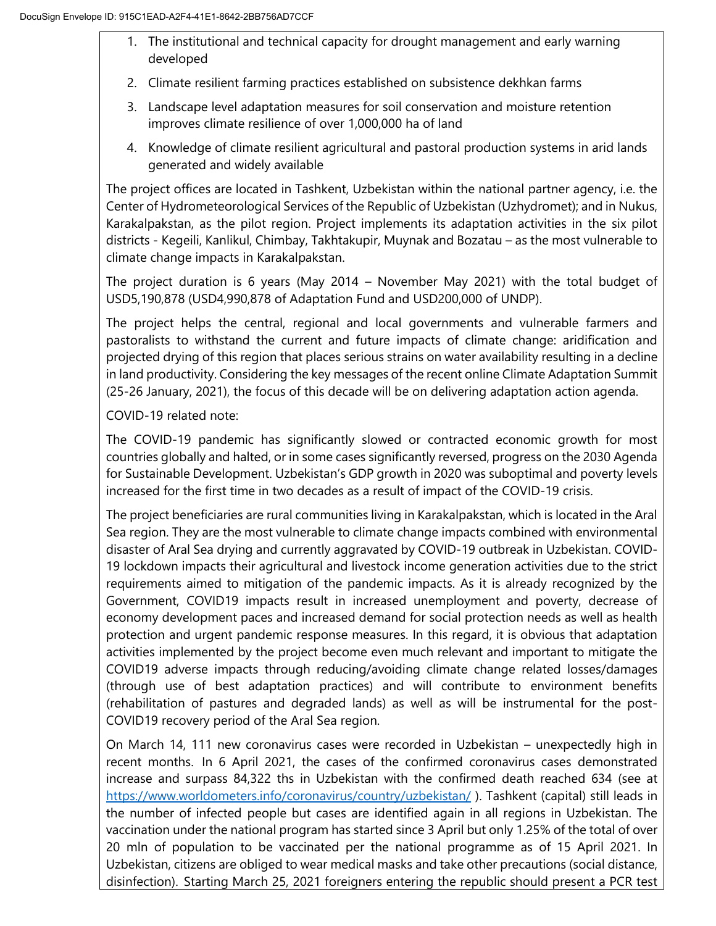- 1. The institutional and technical capacity for drought management and early warning developed
- 2. Climate resilient farming practices established on subsistence dekhkan farms
- 3. Landscape level adaptation measures for soil conservation and moisture retention improves climate resilience of over 1,000,000 ha of land
- 4. Knowledge of climate resilient agricultural and pastoral production systems in arid lands generated and widely available

The project offices are located in Tashkent, Uzbekistan within the national partner agency, i.e. the Center of Hydrometeorological Services of the Republic of Uzbekistan (Uzhydromet); and in Nukus, Karakalpakstan, as the pilot region. Project implements its adaptation activities in the six pilot districts - Kegeili, Kanlikul, Chimbay, Takhtakupir, Muynak and Bozatau – as the most vulnerable to climate change impacts in Karakalpakstan.

The project duration is 6 years (May 2014 – November May 2021) with the total budget of USD5,190,878 (USD4,990,878 of Adaptation Fund and USD200,000 of UNDP).

The project helps the central, regional and local governments and vulnerable farmers and pastoralists to withstand the current and future impacts of climate change: aridification and projected drying of this region that places serious strains on water availability resulting in a decline in land productivity. Considering the key messages of the recent online Climate Adaptation Summit (25-26 January, 2021), the focus of this decade will be on delivering adaptation action agenda.

COVID-19 related note:

The COVID-19 pandemic has significantly slowed or contracted economic growth for most countries globally and halted, or in some cases significantly reversed, progress on the 2030 Agenda for Sustainable Development. Uzbekistan's GDP growth in 2020 was suboptimal and poverty levels increased for the first time in two decades as a result of impact of the COVID-19 crisis.

The project beneficiaries are rural communities living in Karakalpakstan, which is located in the Aral Sea region. They are the most vulnerable to climate change impacts combined with environmental disaster of Aral Sea drying and currently aggravated by COVID-19 outbreak in Uzbekistan. COVID-19 lockdown impacts their agricultural and livestock income generation activities due to the strict requirements aimed to mitigation of the pandemic impacts. As it is already recognized by the Government, COVID19 impacts result in increased unemployment and poverty, decrease of economy development paces and increased demand for social protection needs as well as health protection and urgent pandemic response measures. In this regard, it is obvious that adaptation activities implemented by the project become even much relevant and important to mitigate the COVID19 adverse impacts through reducing/avoiding climate change related losses/damages (through use of best adaptation practices) and will contribute to environment benefits (rehabilitation of pastures and degraded lands) as well as will be instrumental for the post-COVID19 recovery period of the Aral Sea region.

On March 14, 111 new coronavirus cases were recorded in Uzbekistan – unexpectedly high in recent months. In 6 April 2021, the cases of the confirmed coronavirus cases demonstrated increase and surpass 84,322 ths in Uzbekistan with the confirmed death reached 634 (see at https://www.worldometers.info/coronavirus/country/uzbekistan/). Tashkent (capital) still leads in the number of infected people but cases are identified again in all regions in Uzbekistan. The vaccination under the national program has started since 3 April but only 1.25% of the total of over 20 mln of population to be vaccinated per the national programme as of 15 April 2021. In Uzbekistan, citizens are obliged to wear medical masks and take other precautions (social distance, disinfection). Starting March 25, 2021 foreigners entering the republic should present a PCR test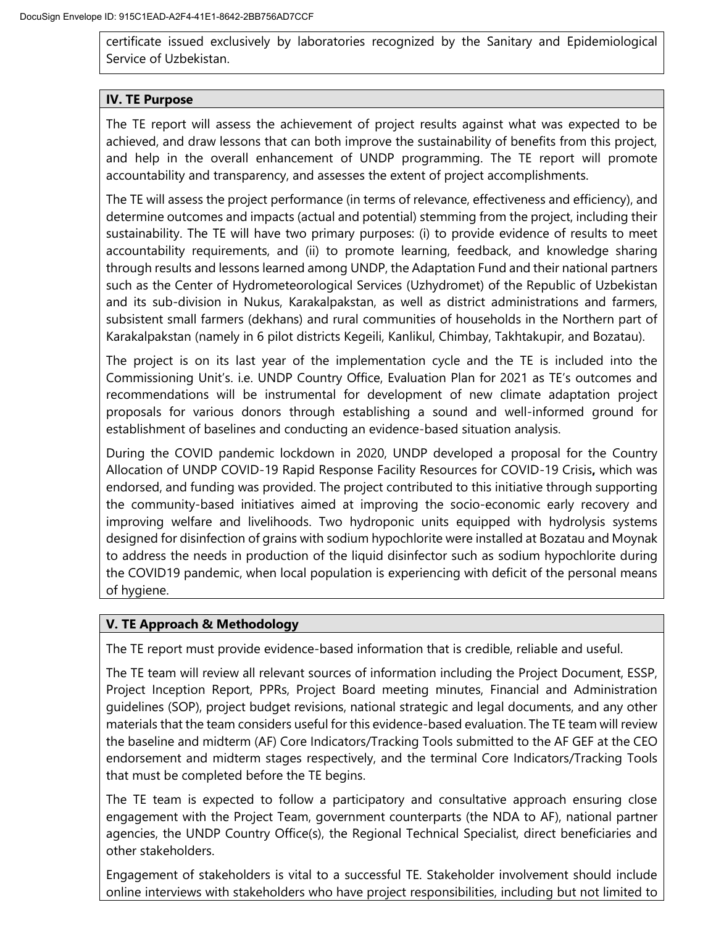certificate issued exclusively by laboratories recognized by the Sanitary and Epidemiological Service of Uzbekistan.

## **IV. TE Purpose**

The TE report will assess the achievement of project results against what was expected to be achieved, and draw lessons that can both improve the sustainability of benefits from this project, and help in the overall enhancement of UNDP programming. The TE report will promote accountability and transparency, and assesses the extent of project accomplishments.

The TE will assess the project performance (in terms of relevance, effectiveness and efficiency), and determine outcomes and impacts (actual and potential) stemming from the project, including their sustainability. The TE will have two primary purposes: (i) to provide evidence of results to meet accountability requirements, and (ii) to promote learning, feedback, and knowledge sharing through results and lessons learned among UNDP, the Adaptation Fund and their national partners such as the Center of Hydrometeorological Services (Uzhydromet) of the Republic of Uzbekistan and its sub-division in Nukus, Karakalpakstan, as well as district administrations and farmers, subsistent small farmers (dekhans) and rural communities of households in the Northern part of Karakalpakstan (namely in 6 pilot districts Kegeili, Kanlikul, Chimbay, Takhtakupir, and Bozatau).

The project is on its last year of the implementation cycle and the TE is included into the Commissioning Unit's. i.e. UNDP Country Office, Evaluation Plan for 2021 as TE's outcomes and recommendations will be instrumental for development of new climate adaptation project proposals for various donors through establishing a sound and well-informed ground for establishment of baselines and conducting an evidence-based situation analysis.

During the COVID pandemic lockdown in 2020, UNDP developed a proposal for the Country Allocation of UNDP COVID-19 Rapid Response Facility Resources for COVID-19 Crisis**,** which was endorsed, and funding was provided. The project contributed to this initiative through supporting the community-based initiatives aimed at improving the socio-economic early recovery and improving welfare and livelihoods. Two hydroponic units equipped with hydrolysis systems designed for disinfection of grains with sodium hypochlorite were installed at Bozatau and Moynak to address the needs in production of the liquid disinfector such as sodium hypochlorite during the COVID19 pandemic, when local population is experiencing with deficit of the personal means of hygiene.

# **V. TE Approach & Methodology**

The TE report must provide evidence-based information that is credible, reliable and useful.

The TE team will review all relevant sources of information including the Project Document, ESSP, Project Inception Report, PPRs, Project Board meeting minutes, Financial and Administration guidelines (SOP), project budget revisions, national strategic and legal documents, and any other materials that the team considers useful for this evidence-based evaluation. The TE team will review the baseline and midterm (AF) Core Indicators/Tracking Tools submitted to the AF GEF at the CEO endorsement and midterm stages respectively, and the terminal Core Indicators/Tracking Tools that must be completed before the TE begins.

The TE team is expected to follow a participatory and consultative approach ensuring close engagement with the Project Team, government counterparts (the NDA to AF), national partner agencies, the UNDP Country Office(s), the Regional Technical Specialist, direct beneficiaries and other stakeholders.

Engagement of stakeholders is vital to a successful TE. Stakeholder involvement should include online interviews with stakeholders who have project responsibilities, including but not limited to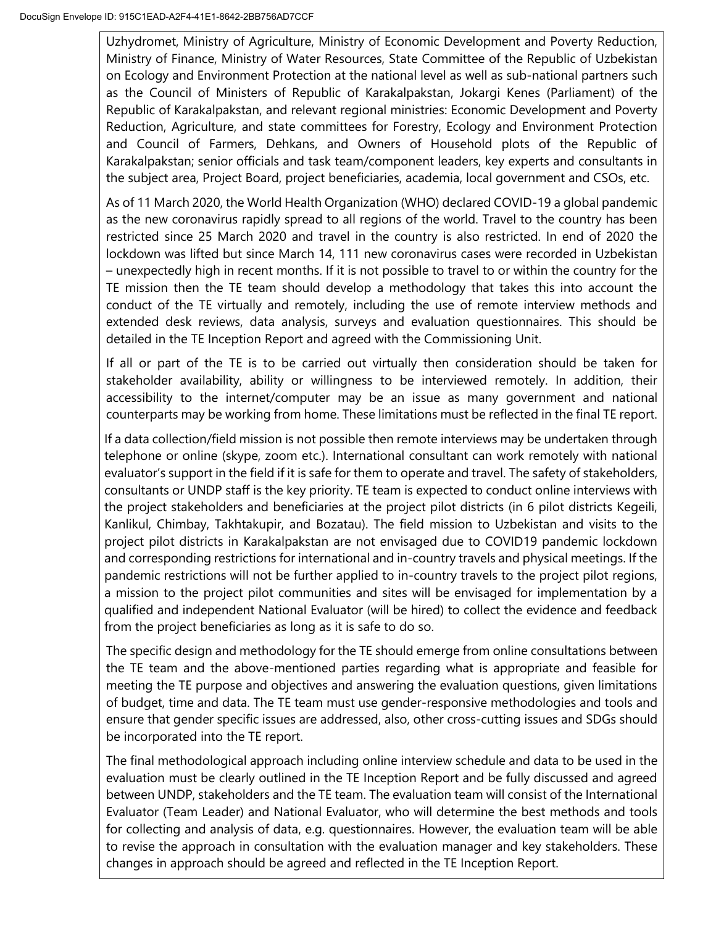Uzhydromet, Ministry of Agriculture, Ministry of Economic Development and Poverty Reduction, Ministry of Finance, Ministry of Water Resources, State Committee of the Republic of Uzbekistan on Ecology and Environment Protection at the national level as well as sub-national partners such as the Council of Ministers of Republic of Karakalpakstan, Jokargi Kenes (Parliament) of the Republic of Karakalpakstan, and relevant regional ministries: Economic Development and Poverty Reduction, Agriculture, and state committees for Forestry, Ecology and Environment Protection and Council of Farmers, Dehkans, and Owners of Household plots of the Republic of Karakalpakstan; senior officials and task team/component leaders, key experts and consultants in the subject area, Project Board, project beneficiaries, academia, local government and CSOs, etc.

As of 11 March 2020, the World Health Organization (WHO) declared COVID-19 a global pandemic as the new coronavirus rapidly spread to all regions of the world. Travel to the country has been restricted since 25 March 2020 and travel in the country is also restricted. In end of 2020 the lockdown was lifted but since March 14, 111 new coronavirus cases were recorded in Uzbekistan – unexpectedly high in recent months. If it is not possible to travel to or within the country for the TE mission then the TE team should develop a methodology that takes this into account the conduct of the TE virtually and remotely, including the use of remote interview methods and extended desk reviews, data analysis, surveys and evaluation questionnaires. This should be detailed in the TE Inception Report and agreed with the Commissioning Unit.

If all or part of the TE is to be carried out virtually then consideration should be taken for stakeholder availability, ability or willingness to be interviewed remotely. In addition, their accessibility to the internet/computer may be an issue as many government and national counterparts may be working from home. These limitations must be reflected in the final TE report.

If a data collection/field mission is not possible then remote interviews may be undertaken through telephone or online (skype, zoom etc.). International consultant can work remotely with national evaluator's support in the field if it is safe for them to operate and travel. The safety of stakeholders, consultants or UNDP staff is the key priority. TE team is expected to conduct online interviews with the project stakeholders and beneficiaries at the project pilot districts (in 6 pilot districts Kegeili, Kanlikul, Chimbay, Takhtakupir, and Bozatau). The field mission to Uzbekistan and visits to the project pilot districts in Karakalpakstan are not envisaged due to COVID19 pandemic lockdown and corresponding restrictions for international and in-country travels and physical meetings. If the pandemic restrictions will not be further applied to in-country travels to the project pilot regions, a mission to the project pilot communities and sites will be envisaged for implementation by a qualified and independent National Evaluator (will be hired) to collect the evidence and feedback from the project beneficiaries as long as it is safe to do so.

The specific design and methodology for the TE should emerge from online consultations between the TE team and the above-mentioned parties regarding what is appropriate and feasible for meeting the TE purpose and objectives and answering the evaluation questions, given limitations of budget, time and data. The TE team must use gender-responsive methodologies and tools and ensure that gender specific issues are addressed, also, other cross-cutting issues and SDGs should be incorporated into the TE report.

The final methodological approach including online interview schedule and data to be used in the evaluation must be clearly outlined in the TE Inception Report and be fully discussed and agreed between UNDP, stakeholders and the TE team. The evaluation team will consist of the International Evaluator (Team Leader) and National Evaluator, who will determine the best methods and tools for collecting and analysis of data, e.g. questionnaires. However, the evaluation team will be able to revise the approach in consultation with the evaluation manager and key stakeholders. These changes in approach should be agreed and reflected in the TE Inception Report.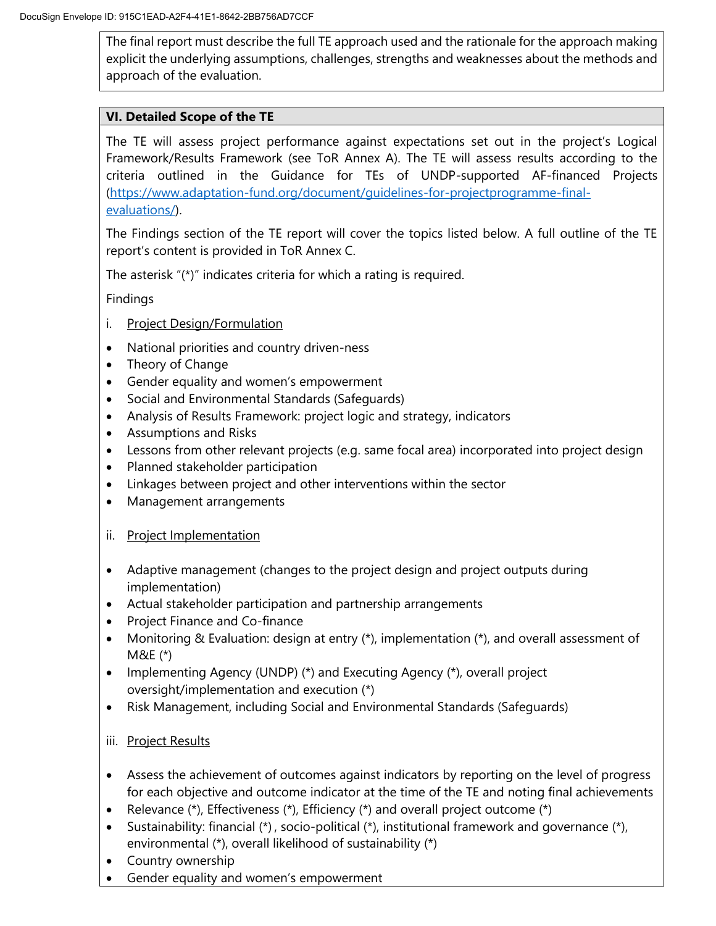The final report must describe the full TE approach used and the rationale for the approach making explicit the underlying assumptions, challenges, strengths and weaknesses about the methods and approach of the evaluation.

## **VI. Detailed Scope of the TE**

The TE will assess project performance against expectations set out in the project's Logical Framework/Results Framework (see ToR Annex A). The TE will assess results according to the criteria outlined in the Guidance for TEs of UNDP-supported AF-financed Projects [\(https://www.adaptation-fund.org/document/guidelines-for-projectprogramme-final](https://eur03.safelinks.protection.outlook.com/?url=https%3A%2F%2Fwww.adaptation-fund.org%2Fdocument%2Fguidelines-for-projectprogramme-final-evaluations%2F&data=04%7C01%7Crano.baykhanova%40undp.org%7C16322c54a0a64ea7f57a08d8d3ff2acc%7Cb3e5db5e2944483799f57488ace54319%7C0%7C0%7C637492440548722295%7CUnknown%7CTWFpbGZsb3d8eyJWIjoiMC4wLjAwMDAiLCJQIjoiV2luMzIiLCJBTiI6Ik1haWwiLCJXVCI6Mn0%3D%7C1000&sdata=E%2FReePeZDJR7QInWL16X1vxgLEEPeDWcd2%2B9uCt04Jk%3D&reserved=0)[evaluations/\)](https://eur03.safelinks.protection.outlook.com/?url=https%3A%2F%2Fwww.adaptation-fund.org%2Fdocument%2Fguidelines-for-projectprogramme-final-evaluations%2F&data=04%7C01%7Crano.baykhanova%40undp.org%7C16322c54a0a64ea7f57a08d8d3ff2acc%7Cb3e5db5e2944483799f57488ace54319%7C0%7C0%7C637492440548722295%7CUnknown%7CTWFpbGZsb3d8eyJWIjoiMC4wLjAwMDAiLCJQIjoiV2luMzIiLCJBTiI6Ik1haWwiLCJXVCI6Mn0%3D%7C1000&sdata=E%2FReePeZDJR7QInWL16X1vxgLEEPeDWcd2%2B9uCt04Jk%3D&reserved=0).

The Findings section of the TE report will cover the topics listed below. A full outline of the TE report's content is provided in ToR Annex C.

The asterisk "(\*)" indicates criteria for which a rating is required.

Findings

- i. Project Design/Formulation
- National priorities and country driven-ness
- Theory of Change
- Gender equality and women's empowerment
- Social and Environmental Standards (Safeguards)
- Analysis of Results Framework: project logic and strategy, indicators
- Assumptions and Risks
- Lessons from other relevant projects (e.g. same focal area) incorporated into project design
- Planned stakeholder participation
- Linkages between project and other interventions within the sector
- Management arrangements
- ii. Project Implementation
- Adaptive management (changes to the project design and project outputs during implementation)
- Actual stakeholder participation and partnership arrangements
- Project Finance and Co-finance
- Monitoring & Evaluation: design at entry (\*), implementation (\*), and overall assessment of M&E (\*)
- Implementing Agency (UNDP) (\*) and Executing Agency (\*), overall project oversight/implementation and execution (\*)
- Risk Management, including Social and Environmental Standards (Safeguards)
- iii. Project Results
- Assess the achievement of outcomes against indicators by reporting on the level of progress for each objective and outcome indicator at the time of the TE and noting final achievements
- Relevance (\*), Effectiveness (\*), Efficiency (\*) and overall project outcome (\*)
- Sustainability: financial  $(*)$ , socio-political  $(*)$ , institutional framework and governance  $(*)$ , environmental (\*), overall likelihood of sustainability (\*)
- Country ownership
- Gender equality and women's empowerment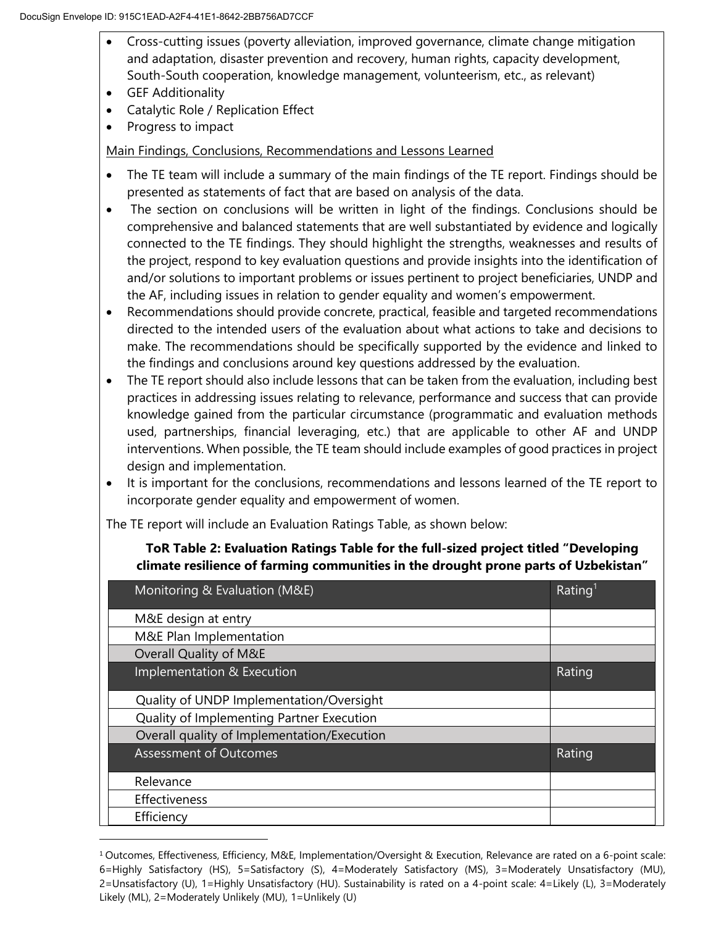- Cross-cutting issues (poverty alleviation, improved governance, climate change mitigation and adaptation, disaster prevention and recovery, human rights, capacity development, South-South cooperation, knowledge management, volunteerism, etc., as relevant)
- GEF Additionality
- Catalytic Role / Replication Effect
- Progress to impact

 $\overline{a}$ 

Main Findings, Conclusions, Recommendations and Lessons Learned

- The TE team will include a summary of the main findings of the TE report. Findings should be presented as statements of fact that are based on analysis of the data.
- The section on conclusions will be written in light of the findings. Conclusions should be comprehensive and balanced statements that are well substantiated by evidence and logically connected to the TE findings. They should highlight the strengths, weaknesses and results of the project, respond to key evaluation questions and provide insights into the identification of and/or solutions to important problems or issues pertinent to project beneficiaries, UNDP and the AF, including issues in relation to gender equality and women's empowerment.
- Recommendations should provide concrete, practical, feasible and targeted recommendations directed to the intended users of the evaluation about what actions to take and decisions to make. The recommendations should be specifically supported by the evidence and linked to the findings and conclusions around key questions addressed by the evaluation.
- The TE report should also include lessons that can be taken from the evaluation, including best practices in addressing issues relating to relevance, performance and success that can provide knowledge gained from the particular circumstance (programmatic and evaluation methods used, partnerships, financial leveraging, etc.) that are applicable to other AF and UNDP interventions. When possible, the TE team should include examples of good practices in project design and implementation.
- It is important for the conclusions, recommendations and lessons learned of the TE report to incorporate gender equality and empowerment of women.

The TE report will include an Evaluation Ratings Table, as shown below:

# **ToR Table 2: Evaluation Ratings Table for the full-sized project titled "Developing climate resilience of farming communities in the drought prone parts of Uzbekistan"**

| Monitoring & Evaluation (M&E)               | Rating <sup>1</sup> |
|---------------------------------------------|---------------------|
| M&E design at entry                         |                     |
| M&E Plan Implementation                     |                     |
| Overall Quality of M&E                      |                     |
| Implementation & Execution                  | Rating              |
| Quality of UNDP Implementation/Oversight    |                     |
| Quality of Implementing Partner Execution   |                     |
| Overall quality of Implementation/Execution |                     |
| <b>Assessment of Outcomes</b>               | Rating              |
| Relevance                                   |                     |
| Effectiveness                               |                     |
| Efficiency                                  |                     |

<sup>1</sup> Outcomes, Effectiveness, Efficiency, M&E, Implementation/Oversight & Execution, Relevance are rated on a 6-point scale: 6=Highly Satisfactory (HS), 5=Satisfactory (S), 4=Moderately Satisfactory (MS), 3=Moderately Unsatisfactory (MU), 2=Unsatisfactory (U), 1=Highly Unsatisfactory (HU). Sustainability is rated on a 4-point scale: 4=Likely (L), 3=Moderately Likely (ML), 2=Moderately Unlikely (MU), 1=Unlikely (U)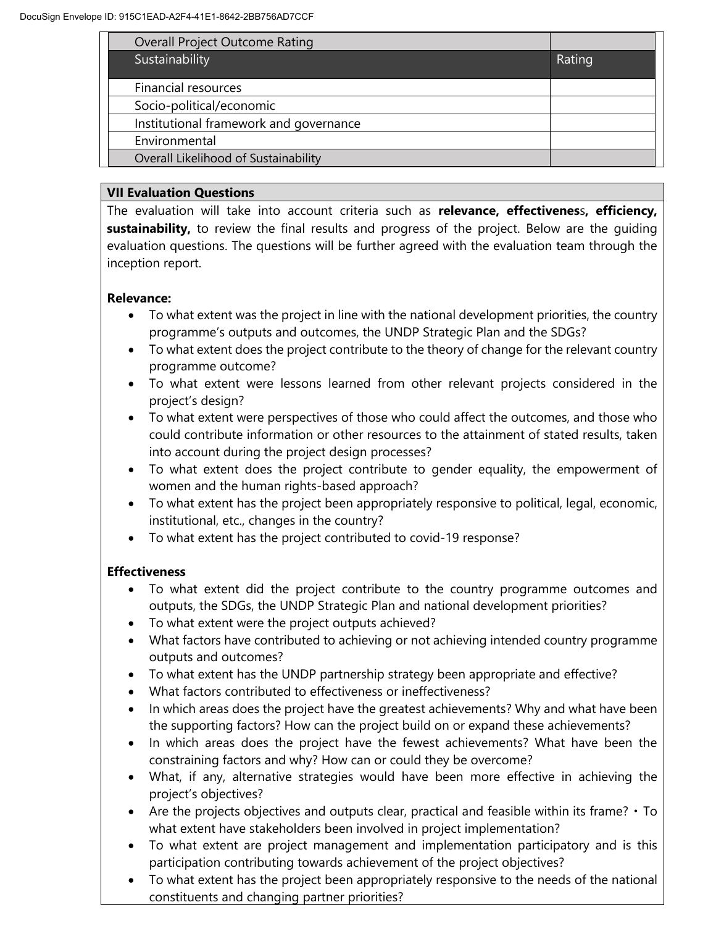| <b>Overall Project Outcome Rating</b>  |        |
|----------------------------------------|--------|
| Sustainability                         | Rating |
| Financial resources                    |        |
|                                        |        |
| Socio-political/economic               |        |
| Institutional framework and governance |        |
| Environmental                          |        |
| Overall Likelihood of Sustainability   |        |

# **VII Evaluation Questions**

The evaluation will take into account criteria such as **relevance, effectivenes**s**, efficiency, sustainability,** to review the final results and progress of the project. Below are the guiding evaluation questions. The questions will be further agreed with the evaluation team through the inception report.

# **Relevance:**

- To what extent was the project in line with the national development priorities, the country programme's outputs and outcomes, the UNDP Strategic Plan and the SDGs?
- To what extent does the project contribute to the theory of change for the relevant country programme outcome?
- To what extent were lessons learned from other relevant projects considered in the project's design?
- To what extent were perspectives of those who could affect the outcomes, and those who could contribute information or other resources to the attainment of stated results, taken into account during the project design processes?
- To what extent does the project contribute to gender equality, the empowerment of women and the human rights-based approach?
- To what extent has the project been appropriately responsive to political, legal, economic, institutional, etc., changes in the country?
- To what extent has the project contributed to covid-19 response?

# **Effectiveness**

- To what extent did the project contribute to the country programme outcomes and outputs, the SDGs, the UNDP Strategic Plan and national development priorities?
- To what extent were the project outputs achieved?
- What factors have contributed to achieving or not achieving intended country programme outputs and outcomes?
- To what extent has the UNDP partnership strategy been appropriate and effective?
- What factors contributed to effectiveness or ineffectiveness?
- In which areas does the project have the greatest achievements? Why and what have been the supporting factors? How can the project build on or expand these achievements?
- In which areas does the project have the fewest achievements? What have been the constraining factors and why? How can or could they be overcome?
- What, if any, alternative strategies would have been more effective in achieving the project's objectives?
- Are the projects objectives and outputs clear, practical and feasible within its frame?  $\cdot$  To what extent have stakeholders been involved in project implementation?
- To what extent are project management and implementation participatory and is this participation contributing towards achievement of the project objectives?
- To what extent has the project been appropriately responsive to the needs of the national constituents and changing partner priorities?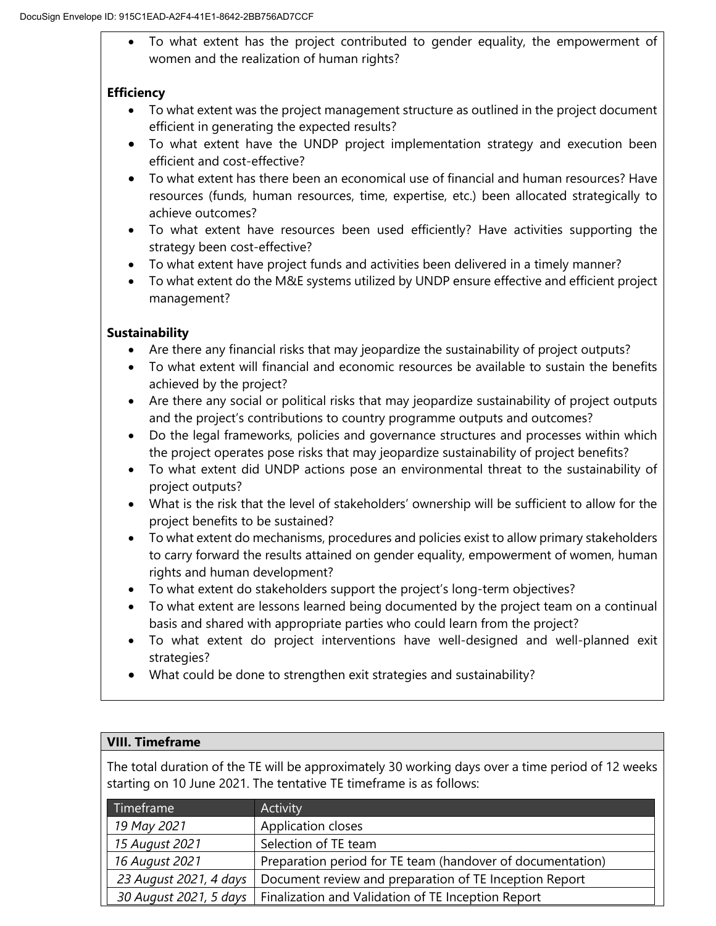To what extent has the project contributed to gender equality, the empowerment of women and the realization of human rights?

# **Efficiency**

- To what extent was the project management structure as outlined in the project document efficient in generating the expected results?
- To what extent have the UNDP project implementation strategy and execution been efficient and cost-effective?
- To what extent has there been an economical use of financial and human resources? Have resources (funds, human resources, time, expertise, etc.) been allocated strategically to achieve outcomes?
- To what extent have resources been used efficiently? Have activities supporting the strategy been cost-effective?
- To what extent have project funds and activities been delivered in a timely manner?
- To what extent do the M&E systems utilized by UNDP ensure effective and efficient project management?

# **Sustainability**

- Are there any financial risks that may jeopardize the sustainability of project outputs?
- To what extent will financial and economic resources be available to sustain the benefits achieved by the project?
- Are there any social or political risks that may jeopardize sustainability of project outputs and the project's contributions to country programme outputs and outcomes?
- Do the legal frameworks, policies and governance structures and processes within which the project operates pose risks that may jeopardize sustainability of project benefits?
- To what extent did UNDP actions pose an environmental threat to the sustainability of project outputs?
- What is the risk that the level of stakeholders' ownership will be sufficient to allow for the project benefits to be sustained?
- To what extent do mechanisms, procedures and policies exist to allow primary stakeholders to carry forward the results attained on gender equality, empowerment of women, human rights and human development?
- To what extent do stakeholders support the project's long-term objectives?
- To what extent are lessons learned being documented by the project team on a continual basis and shared with appropriate parties who could learn from the project?
- To what extent do project interventions have well-designed and well-planned exit strategies?
- What could be done to strengthen exit strategies and sustainability?

# **VIII. Timeframe**

The total duration of the TE will be approximately 30 working days over a time period of 12 weeks starting on 10 June 2021. The tentative TE timeframe is as follows:

| Timeframe <sup>'</sup> | Activity                                                   |  |
|------------------------|------------------------------------------------------------|--|
| 19 May 2021            | Application closes                                         |  |
| 15 August 2021         | Selection of TE team                                       |  |
| 16 August 2021         | Preparation period for TE team (handover of documentation) |  |
| 23 August 2021, 4 days | Document review and preparation of TE Inception Report     |  |
| 30 August 2021, 5 days | Finalization and Validation of TE Inception Report         |  |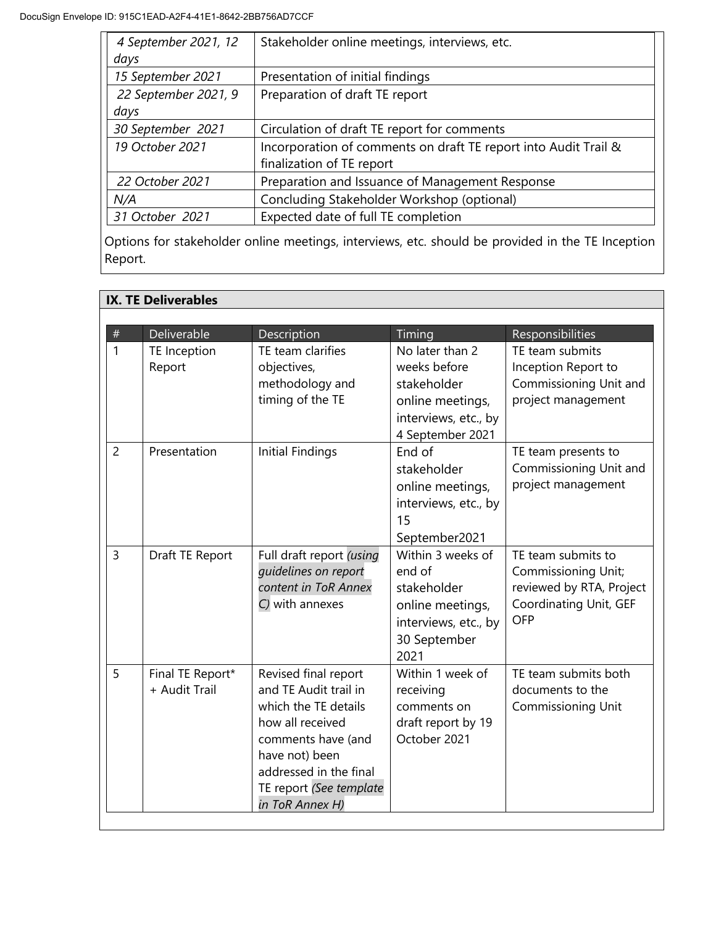| 4 September 2021, 12 | Stakeholder online meetings, interviews, etc.                   |  |
|----------------------|-----------------------------------------------------------------|--|
| days                 |                                                                 |  |
| 15 September 2021    | Presentation of initial findings                                |  |
| 22 September 2021, 9 | Preparation of draft TE report                                  |  |
| days                 |                                                                 |  |
| 30 September 2021    | Circulation of draft TE report for comments                     |  |
| 19 October 2021      | Incorporation of comments on draft TE report into Audit Trail & |  |
|                      | finalization of TE report                                       |  |
| 22 October 2021      | Preparation and Issuance of Management Response                 |  |
| N/A                  | Concluding Stakeholder Workshop (optional)                      |  |
| 31 October 2021      | Expected date of full TE completion                             |  |

Options for stakeholder online meetings, interviews, etc. should be provided in the TE Inception Report.

|                | <b>IX. TE Deliverables</b>        |                                                                                                                                                                                                           |                                                                                                                |                                                                                                                      |
|----------------|-----------------------------------|-----------------------------------------------------------------------------------------------------------------------------------------------------------------------------------------------------------|----------------------------------------------------------------------------------------------------------------|----------------------------------------------------------------------------------------------------------------------|
| $\#$           | Deliverable                       | Description                                                                                                                                                                                               | Timing                                                                                                         | Responsibilities                                                                                                     |
| $\mathbf{1}$   | TE Inception<br>Report            | TE team clarifies<br>objectives,<br>methodology and<br>timing of the TE                                                                                                                                   | No later than 2<br>weeks before<br>stakeholder<br>online meetings,<br>interviews, etc., by<br>4 September 2021 | TE team submits<br>Inception Report to<br>Commissioning Unit and<br>project management                               |
| $\overline{2}$ | Presentation                      | <b>Initial Findings</b>                                                                                                                                                                                   | End of<br>stakeholder<br>online meetings,<br>interviews, etc., by<br>15<br>September2021                       | TE team presents to<br>Commissioning Unit and<br>project management                                                  |
| $\overline{3}$ | Draft TE Report                   | Full draft report (using<br>quidelines on report<br>content in ToR Annex<br>C) with annexes                                                                                                               | Within 3 weeks of<br>end of<br>stakeholder<br>online meetings,<br>interviews, etc., by<br>30 September<br>2021 | TE team submits to<br><b>Commissioning Unit;</b><br>reviewed by RTA, Project<br>Coordinating Unit, GEF<br><b>OFP</b> |
| 5              | Final TE Report*<br>+ Audit Trail | Revised final report<br>and TE Audit trail in<br>which the TE details<br>how all received<br>comments have (and<br>have not) been<br>addressed in the final<br>TE report (See template<br>in ToR Annex H) | Within 1 week of<br>receiving<br>comments on<br>draft report by 19<br>October 2021                             | TE team submits both<br>documents to the<br><b>Commissioning Unit</b>                                                |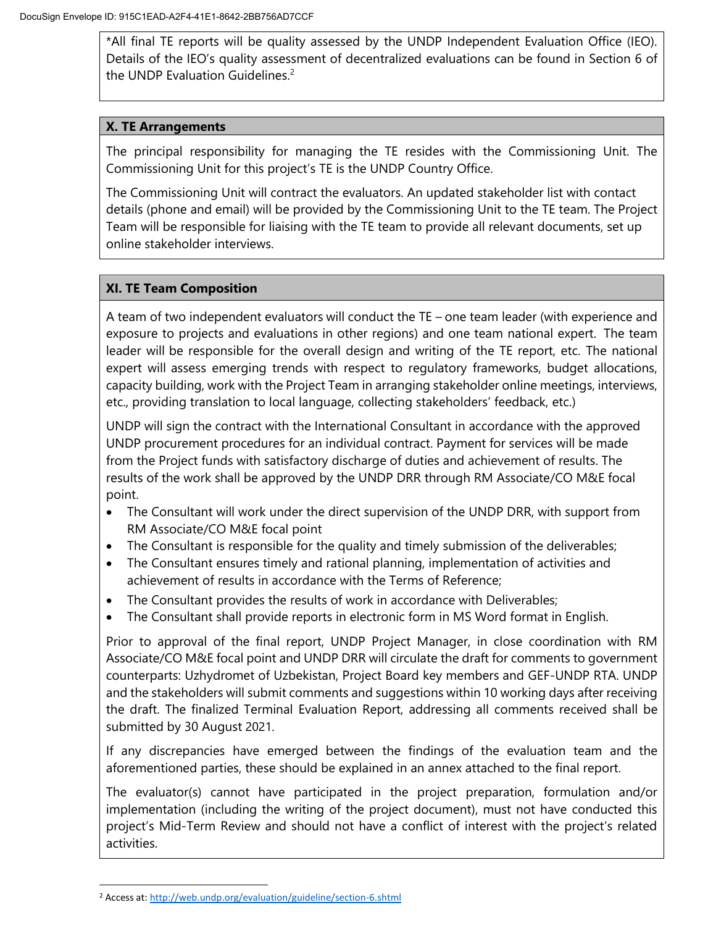\*All final TE reports will be quality assessed by the UNDP Independent Evaluation Office (IEO). Details of the IEO's quality assessment of decentralized evaluations can be found in Section 6 of the UNDP Evaluation Guidelines. $2<sup>2</sup>$ 

### **X. TE Arrangements**

The principal responsibility for managing the TE resides with the Commissioning Unit. The Commissioning Unit for this project's TE is the UNDP Country Office.

The Commissioning Unit will contract the evaluators. An updated stakeholder list with contact details (phone and email) will be provided by the Commissioning Unit to the TE team. The Project Team will be responsible for liaising with the TE team to provide all relevant documents, set up online stakeholder interviews.

## **XI. TE Team Composition**

A team of two independent evaluators will conduct the TE – one team leader (with experience and exposure to projects and evaluations in other regions) and one team national expert. The team leader will be responsible for the overall design and writing of the TE report, etc. The national expert will assess emerging trends with respect to regulatory frameworks, budget allocations, capacity building, work with the Project Team in arranging stakeholder online meetings, interviews, etc., providing translation to local language, collecting stakeholders' feedback, etc.)

UNDP will sign the contract with the International Consultant in accordance with the approved UNDP procurement procedures for an individual contract. Payment for services will be made from the Project funds with satisfactory discharge of duties and achievement of results. The results of the work shall be approved by the UNDP DRR through RM Associate/CO M&E focal point.

- The Consultant will work under the direct supervision of the UNDP DRR, with support from RM Associate/CO M&E focal point
- The Consultant is responsible for the quality and timely submission of the deliverables;
- The Consultant ensures timely and rational planning, implementation of activities and achievement of results in accordance with the Terms of Reference;
- The Consultant provides the results of work in accordance with Deliverables;
- The Consultant shall provide reports in electronic form in MS Word format in English.

Prior to approval of the final report, UNDP Project Manager, in close coordination with RM Associate/CO M&E focal point and UNDP DRR will circulate the draft for comments to government counterparts: Uzhydromet of Uzbekistan, Project Board key members and GEF-UNDP RTA. UNDP and the stakeholders will submit comments and suggestions within 10 working days after receiving the draft. The finalized Terminal Evaluation Report, addressing all comments received shall be submitted by 30 August 2021.

If any discrepancies have emerged between the findings of the evaluation team and the aforementioned parties, these should be explained in an annex attached to the final report.

The evaluator(s) cannot have participated in the project preparation, formulation and/or implementation (including the writing of the project document), must not have conducted this project's Mid-Term Review and should not have a conflict of interest with the project's related activities.

 $\overline{a}$ 

<sup>&</sup>lt;sup>2</sup> Access at: http://web.undp.org/evaluation/guideline/section-6.shtml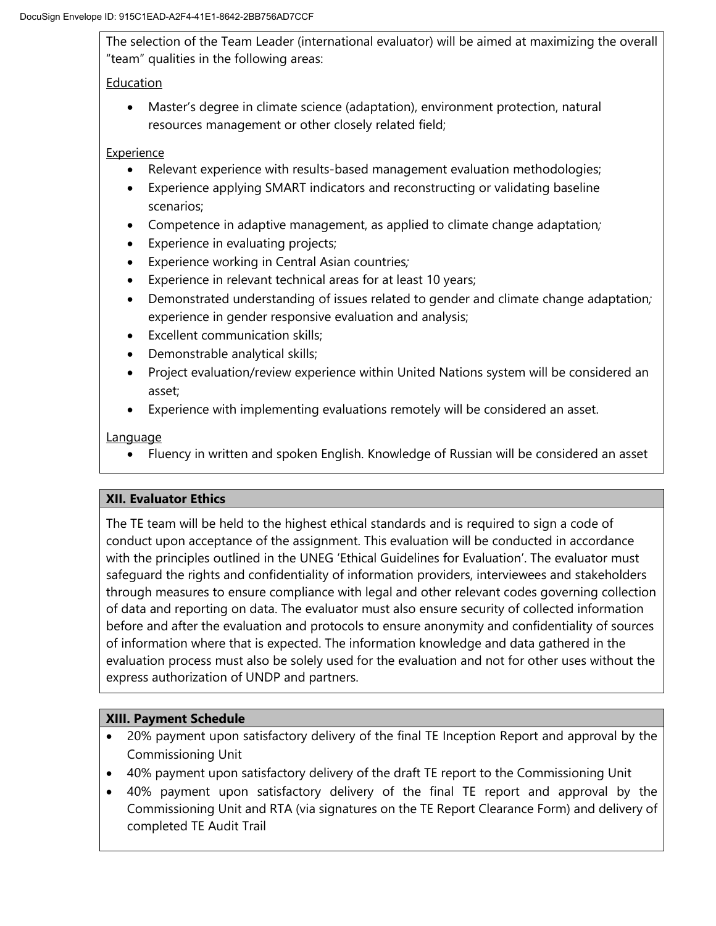The selection of the Team Leader (international evaluator) will be aimed at maximizing the overall "team" qualities in the following areas:

# Education

 Master's degree in climate science (adaptation), environment protection, natural resources management or other closely related field;

## **Experience**

- Relevant experience with results-based management evaluation methodologies;
- Experience applying SMART indicators and reconstructing or validating baseline scenarios;
- Competence in adaptive management, as applied to climate change adaptation*;*
- Experience in evaluating projects;
- Experience working in Central Asian countries*;*
- Experience in relevant technical areas for at least 10 years;
- Demonstrated understanding of issues related to gender and climate change adaptation*;* experience in gender responsive evaluation and analysis;
- Excellent communication skills;
- Demonstrable analytical skills;
- Project evaluation/review experience within United Nations system will be considered an asset;
- Experience with implementing evaluations remotely will be considered an asset.

## **Language**

Fluency in written and spoken English. Knowledge of Russian will be considered an asset

# **XII. Evaluator Ethics**

The TE team will be held to the highest ethical standards and is required to sign a code of conduct upon acceptance of the assignment. This evaluation will be conducted in accordance with the principles outlined in the UNEG 'Ethical Guidelines for Evaluation'. The evaluator must safeguard the rights and confidentiality of information providers, interviewees and stakeholders through measures to ensure compliance with legal and other relevant codes governing collection of data and reporting on data. The evaluator must also ensure security of collected information before and after the evaluation and protocols to ensure anonymity and confidentiality of sources of information where that is expected. The information knowledge and data gathered in the evaluation process must also be solely used for the evaluation and not for other uses without the express authorization of UNDP and partners.

# **XIII. Payment Schedule**

- 20% payment upon satisfactory delivery of the final TE Inception Report and approval by the Commissioning Unit
- 40% payment upon satisfactory delivery of the draft TE report to the Commissioning Unit
- 40% payment upon satisfactory delivery of the final TE report and approval by the Commissioning Unit and RTA (via signatures on the TE Report Clearance Form) and delivery of completed TE Audit Trail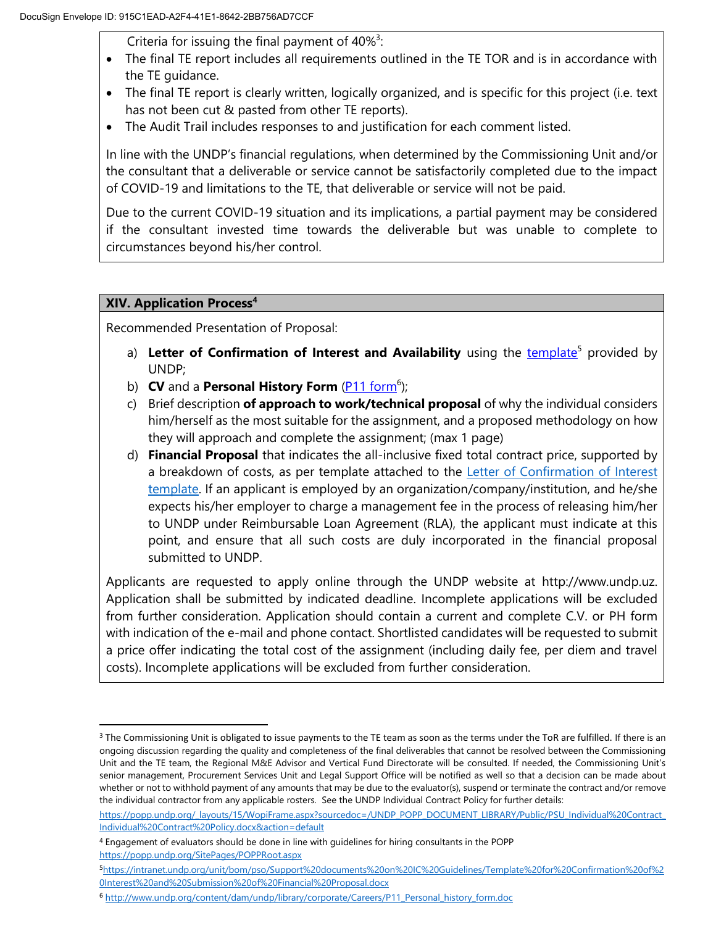Criteria for issuing the final payment of  $40\%$ <sup>3</sup>:

- The final TE report includes all requirements outlined in the TE TOR and is in accordance with the TE guidance.
- The final TE report is clearly written, logically organized, and is specific for this project (i.e. text has not been cut & pasted from other TE reports).
- The Audit Trail includes responses to and justification for each comment listed.

In line with the UNDP's financial regulations, when determined by the Commissioning Unit and/or the consultant that a deliverable or service cannot be satisfactorily completed due to the impact of COVID-19 and limitations to the TE, that deliverable or service will not be paid.

Due to the current COVID-19 situation and its implications, a partial payment may be considered if the consultant invested time towards the deliverable but was unable to complete to circumstances beyond his/her control.

## **XIV. Application Process<sup>4</sup>**

 $\overline{a}$ 

Recommended Presentation of Proposal:

- a) Letter of Confirmation of Interest and Availability using the **template<sup>5</sup> provided by** UNDP;
- b) **CV** and a **Personal History Form** [\(P11 form](http://www.undp.org/content/dam/undp/library/corporate/Careers/P11_Personal_history_form.doc)<sup>6</sup>);
- c) Brief description **of approach to work/technical proposal** of why the individual considers him/herself as the most suitable for the assignment, and a proposed methodology on how they will approach and complete the assignment; (max 1 page)
- d) **Financial Proposal** that indicates the all-inclusive fixed total contract price, supported by a breakdown of costs, as per template attached to the [Letter of Confirmation of Interest](https://popp.undp.org/_layouts/15/WopiFrame.aspx?sourcedoc=/UNDP_POPP_DOCUMENT_LIBRARY/Public/PSU_%20Individual%20Contract_Offerors%20Letter%20to%20UNDP%20Confirming%20Interest%20and%20Availability.docx&action=default)  [template.](https://popp.undp.org/_layouts/15/WopiFrame.aspx?sourcedoc=/UNDP_POPP_DOCUMENT_LIBRARY/Public/PSU_%20Individual%20Contract_Offerors%20Letter%20to%20UNDP%20Confirming%20Interest%20and%20Availability.docx&action=default) If an applicant is employed by an organization/company/institution, and he/she expects his/her employer to charge a management fee in the process of releasing him/her to UNDP under Reimbursable Loan Agreement (RLA), the applicant must indicate at this point, and ensure that all such costs are duly incorporated in the financial proposal submitted to UNDP.

Applicants are requested to apply online through the UNDP website at [http://www.undp.uz.](http://www.undp.uz/) Application shall be submitted by indicated deadline. Incomplete applications will be excluded from further consideration. Application should contain a current and complete C.V. or PH form with indication of the e-mail and phone contact. Shortlisted candidates will be requested to submit a price offer indicating the total cost of the assignment (including daily fee, per diem and travel costs). Incomplete applications will be excluded from further consideration.

<sup>&</sup>lt;sup>3</sup> The Commissioning Unit is obligated to issue payments to the TE team as soon as the terms under the ToR are fulfilled. If there is an ongoing discussion regarding the quality and completeness of the final deliverables that cannot be resolved between the Commissioning Unit and the TE team, the Regional M&E Advisor and Vertical Fund Directorate will be consulted. If needed, the Commissioning Unit's senior management, Procurement Services Unit and Legal Support Office will be notified as well so that a decision can be made about whether or not to withhold payment of any amounts that may be due to the evaluator(s), suspend or terminate the contract and/or remove the individual contractor from any applicable rosters. See the UNDP Individual Contract Policy for further details:

https://popp.undp.org/\_layouts/15/WopiFrame.aspx?sourcedoc=/UNDP\_POPP\_DOCUMENT\_LIBRARY/Public/PSU\_Individual%20Contract [Individual%20Contract%20Policy.docx&action=default](https://popp.undp.org/_layouts/15/WopiFrame.aspx?sourcedoc=/UNDP_POPP_DOCUMENT_LIBRARY/Public/PSU_Individual%20Contract_Individual%20Contract%20Policy.docx&action=default)

<sup>4</sup> Engagement of evaluators should be done in line with guidelines for hiring consultants in the POPP <https://popp.undp.org/SitePages/POPPRoot.aspx>

<sup>5</sup>[https://intranet.undp.org/unit/bom/pso/Support%20documents%20on%20IC%20Guidelines/Template%20for%20Confirmation%20of%2](https://intranet.undp.org/unit/bom/pso/Support%20documents%20on%20IC%20Guidelines/Template%20for%20Confirmation%20of%20Interest%20and%20Submission%20of%20Financial%20Proposal.docx) [0Interest%20and%20Submission%20of%20Financial%20Proposal.docx](https://intranet.undp.org/unit/bom/pso/Support%20documents%20on%20IC%20Guidelines/Template%20for%20Confirmation%20of%20Interest%20and%20Submission%20of%20Financial%20Proposal.docx) 

<sup>6</sup> [http://www.undp.org/content/dam/undp/library/corporate/Careers/P11\\_Personal\\_history\\_form.doc](http://www.undp.org/content/dam/undp/library/corporate/Careers/P11_Personal_history_form.doc)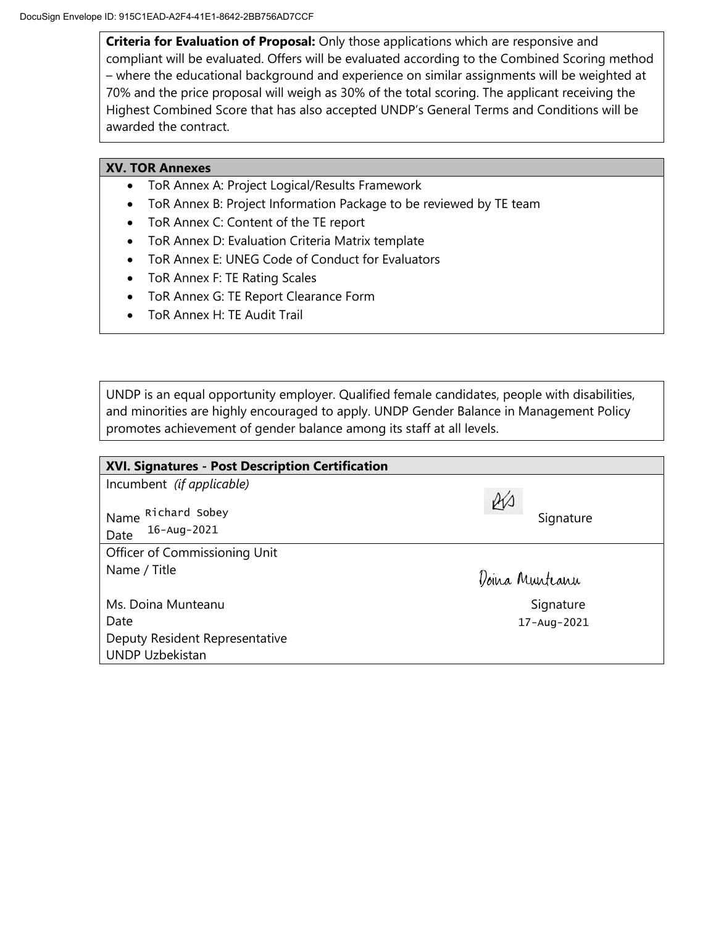**Criteria for Evaluation of Proposal:** Only those applications which are responsive and compliant will be evaluated. Offers will be evaluated according to the Combined Scoring method – where the educational background and experience on similar assignments will be weighted at 70% and the price proposal will weigh as 30% of the total scoring. The applicant receiving the Highest Combined Score that has also accepted UNDP's General Terms and Conditions will be awarded the contract.

### **XV. TOR Annexes**

- ToR Annex A: Project Logical/Results Framework
- ToR Annex B: Project Information Package to be reviewed by TE team
- ToR Annex C: Content of the TE report
- ToR Annex D: Evaluation Criteria Matrix template
- ToR Annex E: UNEG Code of Conduct for Evaluators
- ToR Annex F: TE Rating Scales
- ToR Annex G: TE Report Clearance Form
- ToR Annex H: TE Audit Trail

UNDP is an equal opportunity employer. Qualified female candidates, people with disabilities, and minorities are highly encouraged to apply. UNDP Gender Balance in Management Policy promotes achievement of gender balance among its staff at all levels.

| XVI. Signatures - Post Description Certification |                 |
|--------------------------------------------------|-----------------|
| Incumbent (if applicable)                        |                 |
| Name Richard Sobey<br>16-Aug-2021<br>Date        | RV<br>Signature |
| Officer of Commissioning Unit                    |                 |
| Name / Title                                     | Doina Munteanu  |
| Ms. Doina Munteanu                               | Signature       |
| Date                                             | 17-Aug-2021     |
| Deputy Resident Representative                   |                 |
| <b>UNDP Uzbekistan</b>                           |                 |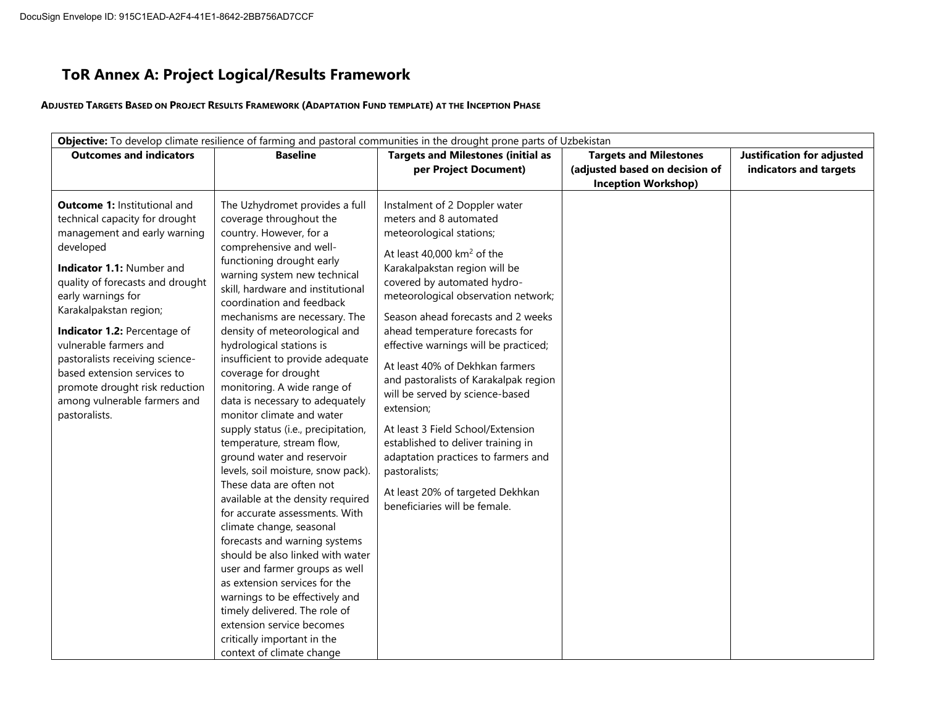# **ToR Annex A: Project Logical/Results Framework**

ADJUSTED TARGETS BASED ON PROJECT RESULTS FRAMEWORK (ADAPTATION FUND TEMPLATE) AT THE INCEPTION PHASE

| <b>Outcomes and indicators</b>                                                                                                                                                                                                                                                                                                                                                                                                                     | <b>Baseline</b>                                                                                                                                                                                                                                                                                                                                                                                                                                                                                                                                                                                                                                                                                                                                                                                                                                                                                                                                                                                                                                                                    | <b>Targets and Milestones (initial as</b><br>per Project Document)                                                                                                                                                                                                                                                                                                                                                                                                                                                                                                                                                                                                                 | <b>Targets and Milestones</b><br>(adjusted based on decision of<br><b>Inception Workshop)</b> | Justification for adjusted<br>indicators and targets |
|----------------------------------------------------------------------------------------------------------------------------------------------------------------------------------------------------------------------------------------------------------------------------------------------------------------------------------------------------------------------------------------------------------------------------------------------------|------------------------------------------------------------------------------------------------------------------------------------------------------------------------------------------------------------------------------------------------------------------------------------------------------------------------------------------------------------------------------------------------------------------------------------------------------------------------------------------------------------------------------------------------------------------------------------------------------------------------------------------------------------------------------------------------------------------------------------------------------------------------------------------------------------------------------------------------------------------------------------------------------------------------------------------------------------------------------------------------------------------------------------------------------------------------------------|------------------------------------------------------------------------------------------------------------------------------------------------------------------------------------------------------------------------------------------------------------------------------------------------------------------------------------------------------------------------------------------------------------------------------------------------------------------------------------------------------------------------------------------------------------------------------------------------------------------------------------------------------------------------------------|-----------------------------------------------------------------------------------------------|------------------------------------------------------|
| <b>Outcome 1: Institutional and</b><br>technical capacity for drought<br>management and early warning<br>developed<br>Indicator 1.1: Number and<br>quality of forecasts and drought<br>early warnings for<br>Karakalpakstan region;<br>Indicator 1.2: Percentage of<br>vulnerable farmers and<br>pastoralists receiving science-<br>based extension services to<br>promote drought risk reduction<br>among vulnerable farmers and<br>pastoralists. | The Uzhydromet provides a full<br>coverage throughout the<br>country. However, for a<br>comprehensive and well-<br>functioning drought early<br>warning system new technical<br>skill, hardware and institutional<br>coordination and feedback<br>mechanisms are necessary. The<br>density of meteorological and<br>hydrological stations is<br>insufficient to provide adequate<br>coverage for drought<br>monitoring. A wide range of<br>data is necessary to adequately<br>monitor climate and water<br>supply status (i.e., precipitation,<br>temperature, stream flow,<br>ground water and reservoir<br>levels, soil moisture, snow pack).<br>These data are often not<br>available at the density required<br>for accurate assessments. With<br>climate change, seasonal<br>forecasts and warning systems<br>should be also linked with water<br>user and farmer groups as well<br>as extension services for the<br>warnings to be effectively and<br>timely delivered. The role of<br>extension service becomes<br>critically important in the<br>context of climate change | Instalment of 2 Doppler water<br>meters and 8 automated<br>meteorological stations;<br>At least 40,000 $km^2$ of the<br>Karakalpakstan region will be<br>covered by automated hydro-<br>meteorological observation network;<br>Season ahead forecasts and 2 weeks<br>ahead temperature forecasts for<br>effective warnings will be practiced;<br>At least 40% of Dekhkan farmers<br>and pastoralists of Karakalpak region<br>will be served by science-based<br>extension;<br>At least 3 Field School/Extension<br>established to deliver training in<br>adaptation practices to farmers and<br>pastoralists;<br>At least 20% of targeted Dekhkan<br>beneficiaries will be female. |                                                                                               |                                                      |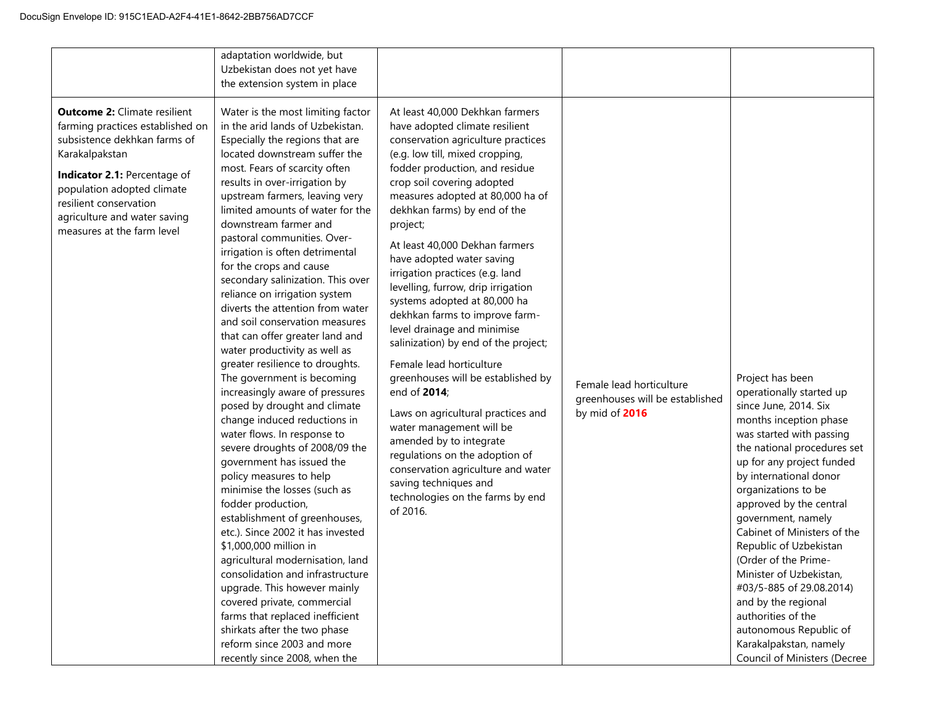|                                                                                                                                                                                                                                                                                 | adaptation worldwide, but<br>Uzbekistan does not yet have<br>the extension system in place                                                                                                                                                                                                                                                                                                                                                                                                                                                                                                                                                                                                                                                                                                                                                                                                                                                                                                                                                                                                                                                                                                                                                                                                                                                          |                                                                                                                                                                                                                                                                                                                                                                                                                                                                                                                                                                                                                                                                                                                                                                                                                                                                                                             |                                                                               |                                                                                                                                                                                                                                                                                                                                                                                                                                                                                                                                                                    |
|---------------------------------------------------------------------------------------------------------------------------------------------------------------------------------------------------------------------------------------------------------------------------------|-----------------------------------------------------------------------------------------------------------------------------------------------------------------------------------------------------------------------------------------------------------------------------------------------------------------------------------------------------------------------------------------------------------------------------------------------------------------------------------------------------------------------------------------------------------------------------------------------------------------------------------------------------------------------------------------------------------------------------------------------------------------------------------------------------------------------------------------------------------------------------------------------------------------------------------------------------------------------------------------------------------------------------------------------------------------------------------------------------------------------------------------------------------------------------------------------------------------------------------------------------------------------------------------------------------------------------------------------------|-------------------------------------------------------------------------------------------------------------------------------------------------------------------------------------------------------------------------------------------------------------------------------------------------------------------------------------------------------------------------------------------------------------------------------------------------------------------------------------------------------------------------------------------------------------------------------------------------------------------------------------------------------------------------------------------------------------------------------------------------------------------------------------------------------------------------------------------------------------------------------------------------------------|-------------------------------------------------------------------------------|--------------------------------------------------------------------------------------------------------------------------------------------------------------------------------------------------------------------------------------------------------------------------------------------------------------------------------------------------------------------------------------------------------------------------------------------------------------------------------------------------------------------------------------------------------------------|
| <b>Outcome 2: Climate resilient</b><br>farming practices established on<br>subsistence dekhkan farms of<br>Karakalpakstan<br>Indicator 2.1: Percentage of<br>population adopted climate<br>resilient conservation<br>agriculture and water saving<br>measures at the farm level | Water is the most limiting factor<br>in the arid lands of Uzbekistan.<br>Especially the regions that are<br>located downstream suffer the<br>most. Fears of scarcity often<br>results in over-irrigation by<br>upstream farmers, leaving very<br>limited amounts of water for the<br>downstream farmer and<br>pastoral communities. Over-<br>irrigation is often detrimental<br>for the crops and cause<br>secondary salinization. This over<br>reliance on irrigation system<br>diverts the attention from water<br>and soil conservation measures<br>that can offer greater land and<br>water productivity as well as<br>greater resilience to droughts.<br>The government is becoming<br>increasingly aware of pressures<br>posed by drought and climate<br>change induced reductions in<br>water flows. In response to<br>severe droughts of 2008/09 the<br>government has issued the<br>policy measures to help<br>minimise the losses (such as<br>fodder production,<br>establishment of greenhouses,<br>etc.). Since 2002 it has invested<br>\$1,000,000 million in<br>agricultural modernisation, land<br>consolidation and infrastructure<br>upgrade. This however mainly<br>covered private, commercial<br>farms that replaced inefficient<br>shirkats after the two phase<br>reform since 2003 and more<br>recently since 2008, when the | At least 40,000 Dekhkan farmers<br>have adopted climate resilient<br>conservation agriculture practices<br>(e.g. low till, mixed cropping,<br>fodder production, and residue<br>crop soil covering adopted<br>measures adopted at 80,000 ha of<br>dekhkan farms) by end of the<br>project;<br>At least 40,000 Dekhan farmers<br>have adopted water saving<br>irrigation practices (e.g. land<br>levelling, furrow, drip irrigation<br>systems adopted at 80,000 ha<br>dekhkan farms to improve farm-<br>level drainage and minimise<br>salinization) by end of the project;<br>Female lead horticulture<br>greenhouses will be established by<br>end of 2014;<br>Laws on agricultural practices and<br>water management will be<br>amended by to integrate<br>regulations on the adoption of<br>conservation agriculture and water<br>saving techniques and<br>technologies on the farms by end<br>of 2016. | Female lead horticulture<br>greenhouses will be established<br>by mid of 2016 | Project has been<br>operationally started up<br>since June, 2014. Six<br>months inception phase<br>was started with passing<br>the national procedures set<br>up for any project funded<br>by international donor<br>organizations to be<br>approved by the central<br>government, namely<br>Cabinet of Ministers of the<br>Republic of Uzbekistan<br>(Order of the Prime-<br>Minister of Uzbekistan,<br>#03/5-885 of 29.08.2014)<br>and by the regional<br>authorities of the<br>autonomous Republic of<br>Karakalpakstan, namely<br>Council of Ministers (Decree |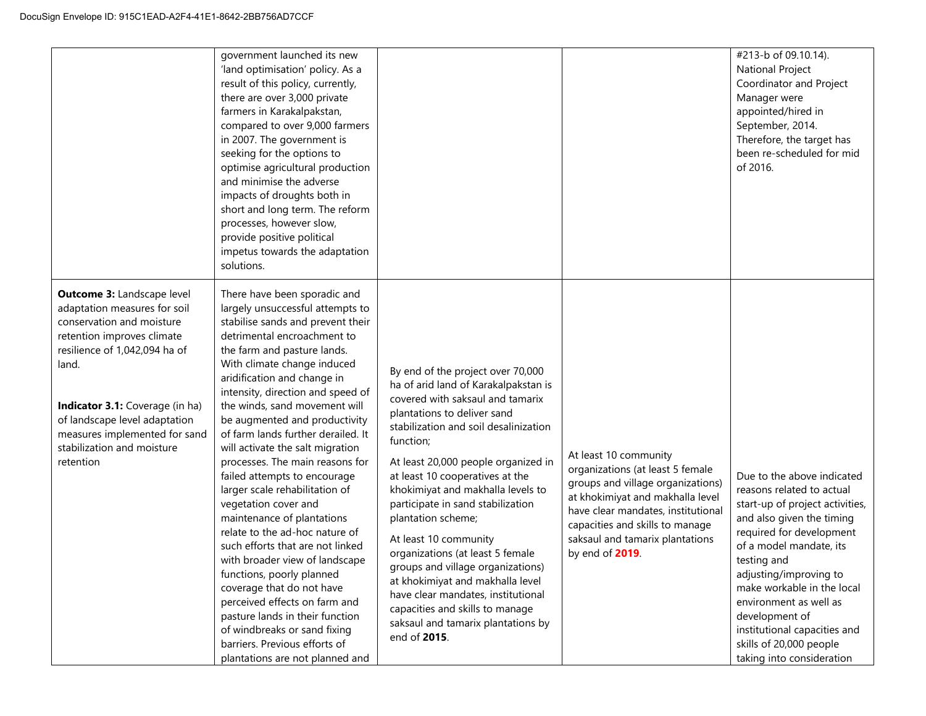|                                                                                                                                                                                                                                                                                                                        | government launched its new<br>'land optimisation' policy. As a<br>result of this policy, currently,<br>there are over 3,000 private<br>farmers in Karakalpakstan,<br>compared to over 9,000 farmers<br>in 2007. The government is<br>seeking for the options to<br>optimise agricultural production<br>and minimise the adverse<br>impacts of droughts both in<br>short and long term. The reform<br>processes, however slow,<br>provide positive political<br>impetus towards the adaptation<br>solutions.                                                                                                                                                                                                                                                                                                                                                                                                            |                                                                                                                                                                                                                                                                                                                                                                                                                                                                                                                                                                                                                                                   |                                                                                                                                                                                                                                                                   | #213-b of 09.10.14).<br><b>National Project</b><br>Coordinator and Project<br>Manager were<br>appointed/hired in<br>September, 2014.<br>Therefore, the target has<br>been re-scheduled for mid<br>of 2016.                                                                                                                                                                                |
|------------------------------------------------------------------------------------------------------------------------------------------------------------------------------------------------------------------------------------------------------------------------------------------------------------------------|-------------------------------------------------------------------------------------------------------------------------------------------------------------------------------------------------------------------------------------------------------------------------------------------------------------------------------------------------------------------------------------------------------------------------------------------------------------------------------------------------------------------------------------------------------------------------------------------------------------------------------------------------------------------------------------------------------------------------------------------------------------------------------------------------------------------------------------------------------------------------------------------------------------------------|---------------------------------------------------------------------------------------------------------------------------------------------------------------------------------------------------------------------------------------------------------------------------------------------------------------------------------------------------------------------------------------------------------------------------------------------------------------------------------------------------------------------------------------------------------------------------------------------------------------------------------------------------|-------------------------------------------------------------------------------------------------------------------------------------------------------------------------------------------------------------------------------------------------------------------|-------------------------------------------------------------------------------------------------------------------------------------------------------------------------------------------------------------------------------------------------------------------------------------------------------------------------------------------------------------------------------------------|
| <b>Outcome 3: Landscape level</b><br>adaptation measures for soil<br>conservation and moisture<br>retention improves climate<br>resilience of 1,042,094 ha of<br>land.<br>Indicator 3.1: Coverage (in ha)<br>of landscape level adaptation<br>measures implemented for sand<br>stabilization and moisture<br>retention | There have been sporadic and<br>largely unsuccessful attempts to<br>stabilise sands and prevent their<br>detrimental encroachment to<br>the farm and pasture lands.<br>With climate change induced<br>aridification and change in<br>intensity, direction and speed of<br>the winds, sand movement will<br>be augmented and productivity<br>of farm lands further derailed. It<br>will activate the salt migration<br>processes. The main reasons for<br>failed attempts to encourage<br>larger scale rehabilitation of<br>vegetation cover and<br>maintenance of plantations<br>relate to the ad-hoc nature of<br>such efforts that are not linked<br>with broader view of landscape<br>functions, poorly planned<br>coverage that do not have<br>perceived effects on farm and<br>pasture lands in their function<br>of windbreaks or sand fixing<br>barriers. Previous efforts of<br>plantations are not planned and | By end of the project over 70,000<br>ha of arid land of Karakalpakstan is<br>covered with saksaul and tamarix<br>plantations to deliver sand<br>stabilization and soil desalinization<br>function;<br>At least 20,000 people organized in<br>at least 10 cooperatives at the<br>khokimiyat and makhalla levels to<br>participate in sand stabilization<br>plantation scheme;<br>At least 10 community<br>organizations (at least 5 female<br>groups and village organizations)<br>at khokimiyat and makhalla level<br>have clear mandates, institutional<br>capacities and skills to manage<br>saksaul and tamarix plantations by<br>end of 2015. | At least 10 community<br>organizations (at least 5 female<br>groups and village organizations)<br>at khokimiyat and makhalla level<br>have clear mandates, institutional<br>capacities and skills to manage<br>saksaul and tamarix plantations<br>by end of 2019. | Due to the above indicated<br>reasons related to actual<br>start-up of project activities,<br>and also given the timing<br>required for development<br>of a model mandate, its<br>testing and<br>adjusting/improving to<br>make workable in the local<br>environment as well as<br>development of<br>institutional capacities and<br>skills of 20,000 people<br>taking into consideration |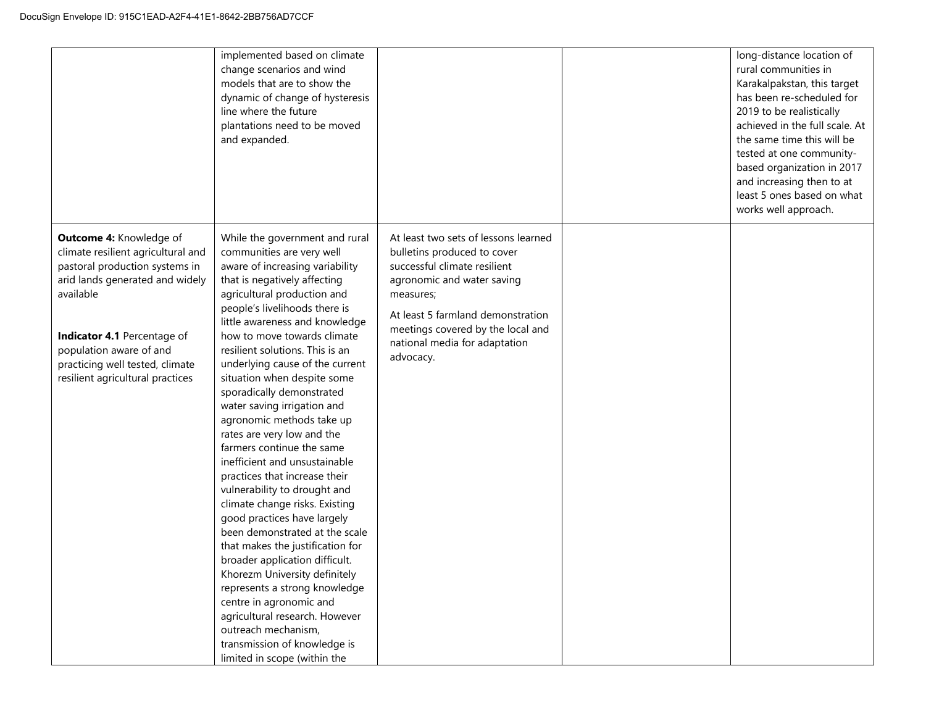|                                                                                                                                                                                                                                                                                  | implemented based on climate<br>change scenarios and wind<br>models that are to show the<br>dynamic of change of hysteresis<br>line where the future<br>plantations need to be moved<br>and expanded.                                                                                                                                                                                                                                                                                                                                                                                                                                                                                                                                                                                                                                                                                                                                                                                                                     |                                                                                                                                                                                                                                                                        | long-distance location of<br>rural communities in<br>Karakalpakstan, this target<br>has been re-scheduled for<br>2019 to be realistically<br>achieved in the full scale. At<br>the same time this will be<br>tested at one community-<br>based organization in 2017<br>and increasing then to at<br>least 5 ones based on what<br>works well approach. |
|----------------------------------------------------------------------------------------------------------------------------------------------------------------------------------------------------------------------------------------------------------------------------------|---------------------------------------------------------------------------------------------------------------------------------------------------------------------------------------------------------------------------------------------------------------------------------------------------------------------------------------------------------------------------------------------------------------------------------------------------------------------------------------------------------------------------------------------------------------------------------------------------------------------------------------------------------------------------------------------------------------------------------------------------------------------------------------------------------------------------------------------------------------------------------------------------------------------------------------------------------------------------------------------------------------------------|------------------------------------------------------------------------------------------------------------------------------------------------------------------------------------------------------------------------------------------------------------------------|--------------------------------------------------------------------------------------------------------------------------------------------------------------------------------------------------------------------------------------------------------------------------------------------------------------------------------------------------------|
| Outcome 4: Knowledge of<br>climate resilient agricultural and<br>pastoral production systems in<br>arid lands generated and widely<br>available<br>Indicator 4.1 Percentage of<br>population aware of and<br>practicing well tested, climate<br>resilient agricultural practices | While the government and rural<br>communities are very well<br>aware of increasing variability<br>that is negatively affecting<br>agricultural production and<br>people's livelihoods there is<br>little awareness and knowledge<br>how to move towards climate<br>resilient solutions. This is an<br>underlying cause of the current<br>situation when despite some<br>sporadically demonstrated<br>water saving irrigation and<br>agronomic methods take up<br>rates are very low and the<br>farmers continue the same<br>inefficient and unsustainable<br>practices that increase their<br>vulnerability to drought and<br>climate change risks. Existing<br>good practices have largely<br>been demonstrated at the scale<br>that makes the justification for<br>broader application difficult.<br>Khorezm University definitely<br>represents a strong knowledge<br>centre in agronomic and<br>agricultural research. However<br>outreach mechanism,<br>transmission of knowledge is<br>limited in scope (within the | At least two sets of lessons learned<br>bulletins produced to cover<br>successful climate resilient<br>agronomic and water saving<br>measures;<br>At least 5 farmland demonstration<br>meetings covered by the local and<br>national media for adaptation<br>advocacy. |                                                                                                                                                                                                                                                                                                                                                        |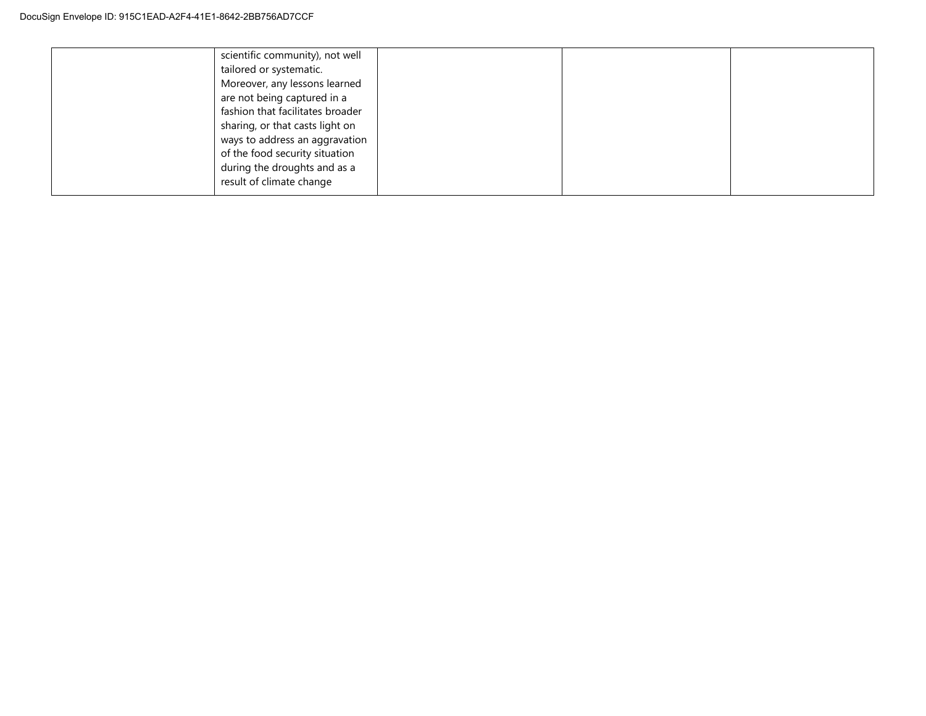| scientific community), not well<br>tailored or systematic.<br>Moreover, any lessons learned<br>are not being captured in a<br>fashion that facilitates broader<br>sharing, or that casts light on<br>ways to address an aggravation<br>of the food security situation |  |  |
|-----------------------------------------------------------------------------------------------------------------------------------------------------------------------------------------------------------------------------------------------------------------------|--|--|
|                                                                                                                                                                                                                                                                       |  |  |
| during the droughts and as a<br>result of climate change                                                                                                                                                                                                              |  |  |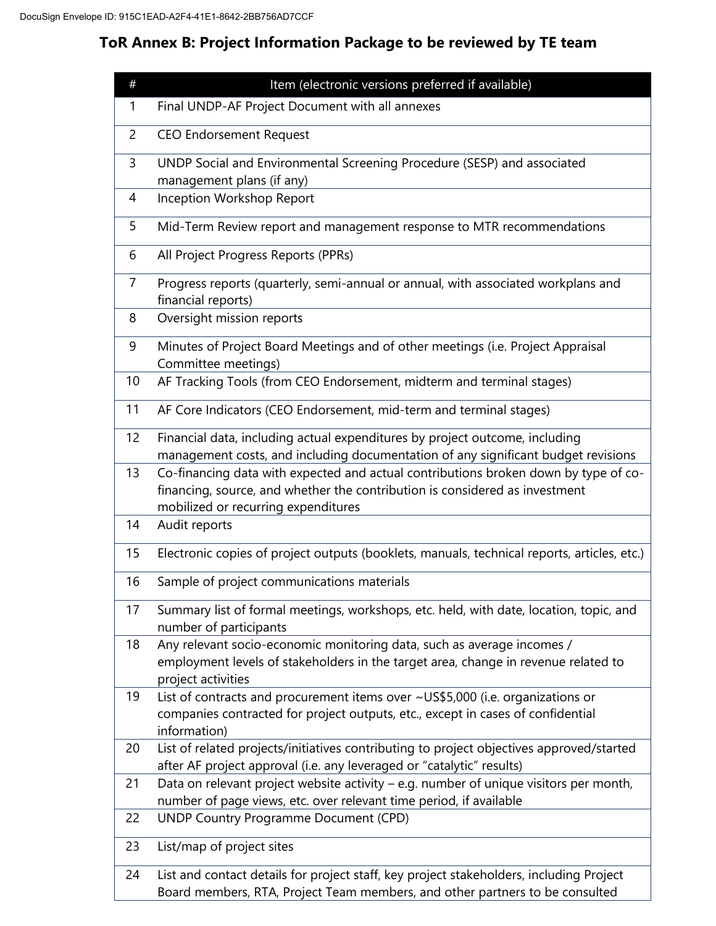# **ToR Annex B: Project Information Package to be reviewed by TE team**

| #  | Item (electronic versions preferred if available)                                                                                                                                                         |
|----|-----------------------------------------------------------------------------------------------------------------------------------------------------------------------------------------------------------|
| 1  | Final UNDP-AF Project Document with all annexes                                                                                                                                                           |
| 2  | <b>CEO Endorsement Request</b>                                                                                                                                                                            |
| 3  | UNDP Social and Environmental Screening Procedure (SESP) and associated<br>management plans (if any)                                                                                                      |
| 4  | Inception Workshop Report                                                                                                                                                                                 |
| 5  | Mid-Term Review report and management response to MTR recommendations                                                                                                                                     |
| 6  | All Project Progress Reports (PPRs)                                                                                                                                                                       |
| 7  | Progress reports (quarterly, semi-annual or annual, with associated workplans and<br>financial reports)                                                                                                   |
| 8  | Oversight mission reports                                                                                                                                                                                 |
| 9  | Minutes of Project Board Meetings and of other meetings (i.e. Project Appraisal<br>Committee meetings)                                                                                                    |
| 10 | AF Tracking Tools (from CEO Endorsement, midterm and terminal stages)                                                                                                                                     |
| 11 | AF Core Indicators (CEO Endorsement, mid-term and terminal stages)                                                                                                                                        |
| 12 | Financial data, including actual expenditures by project outcome, including<br>management costs, and including documentation of any significant budget revisions                                          |
| 13 | Co-financing data with expected and actual contributions broken down by type of co-<br>financing, source, and whether the contribution is considered as investment<br>mobilized or recurring expenditures |
| 14 | Audit reports                                                                                                                                                                                             |
| 15 | Electronic copies of project outputs (booklets, manuals, technical reports, articles, etc.)                                                                                                               |
| 16 | Sample of project communications materials                                                                                                                                                                |
| 17 | Summary list of formal meetings, workshops, etc. held, with date, location, topic, and<br>number of participants                                                                                          |
| 18 | Any relevant socio-economic monitoring data, such as average incomes /<br>employment levels of stakeholders in the target area, change in revenue related to<br>project activities                        |
| 19 | List of contracts and procurement items over ~US\$5,000 (i.e. organizations or<br>companies contracted for project outputs, etc., except in cases of confidential<br>information)                         |
| 20 | List of related projects/initiatives contributing to project objectives approved/started<br>after AF project approval (i.e. any leveraged or "catalytic" results)                                         |
| 21 | Data on relevant project website activity $-$ e.g. number of unique visitors per month,<br>number of page views, etc. over relevant time period, if available                                             |
| 22 | <b>UNDP Country Programme Document (CPD)</b>                                                                                                                                                              |
| 23 | List/map of project sites                                                                                                                                                                                 |
| 24 | List and contact details for project staff, key project stakeholders, including Project<br>Board members, RTA, Project Team members, and other partners to be consulted                                   |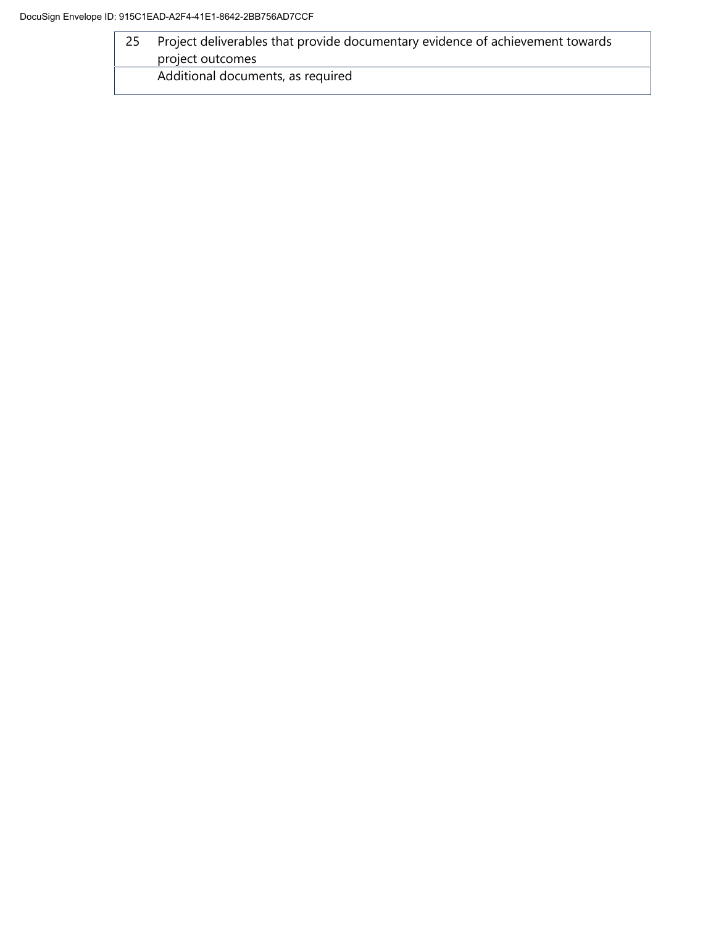| Project deliverables that provide documentary evidence of achievement towards |
|-------------------------------------------------------------------------------|
| project outcomes                                                              |
| Additional documents, as required                                             |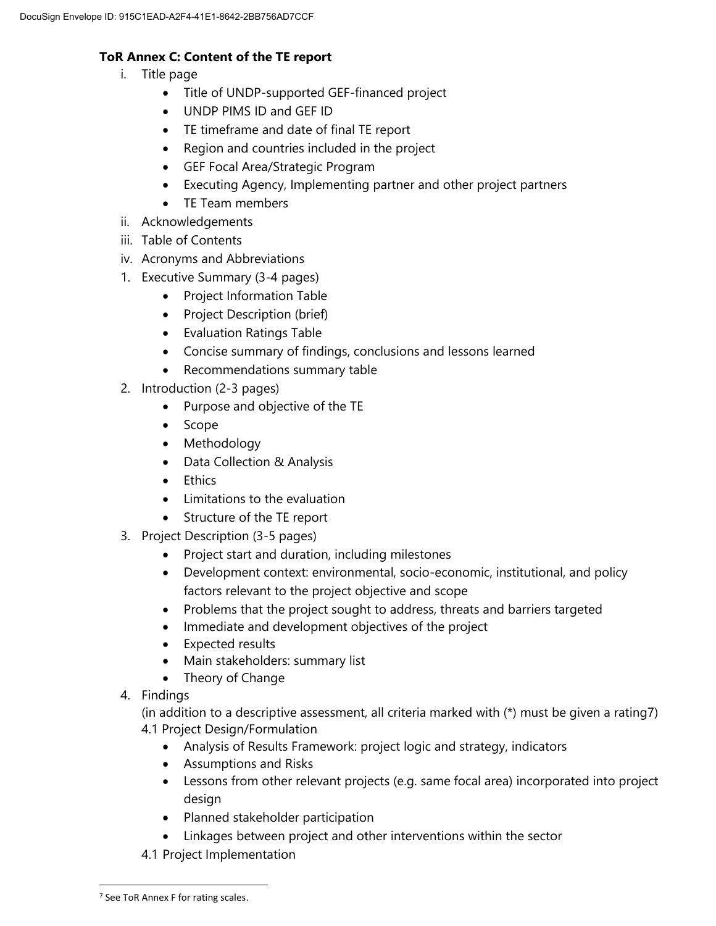# **ToR Annex C: Content of the TE report**

- i. Title page
	- Title of UNDP-supported GEF-financed project
	- UNDP PIMS ID and GEF ID
	- TE timeframe and date of final TE report
	- Region and countries included in the project
	- GEF Focal Area/Strategic Program
	- Executing Agency, Implementing partner and other project partners
	- TE Team members
- ii. Acknowledgements
- iii. Table of Contents
- iv. Acronyms and Abbreviations
- 1. Executive Summary (3-4 pages)
	- Project Information Table
	- Project Description (brief)
	- Evaluation Ratings Table
	- Concise summary of findings, conclusions and lessons learned
	- Recommendations summary table
- 2. Introduction (2-3 pages)
	- Purpose and objective of the TE
	- Scope
	- Methodology
	- Data Collection & Analysis
	- Ethics
	- Limitations to the evaluation
	- Structure of the TE report
- 3. Project Description (3-5 pages)
	- Project start and duration, including milestones
	- Development context: environmental, socio-economic, institutional, and policy factors relevant to the project objective and scope
	- Problems that the project sought to address, threats and barriers targeted
	- Immediate and development objectives of the project
	- Expected results
	- Main stakeholders: summary list
	- Theory of Change
- 4. Findings

(in addition to a descriptive assessment, all criteria marked with (\*) must be given a rating7) 4.1 Project Design/Formulation

- Analysis of Results Framework: project logic and strategy, indicators
- Assumptions and Risks
- Lessons from other relevant projects (e.g. same focal area) incorporated into project design
- Planned stakeholder participation
- Linkages between project and other interventions within the sector
- 4.1 Project Implementation

 $\overline{a}$ 

<sup>&</sup>lt;sup>7</sup> See ToR Annex F for rating scales.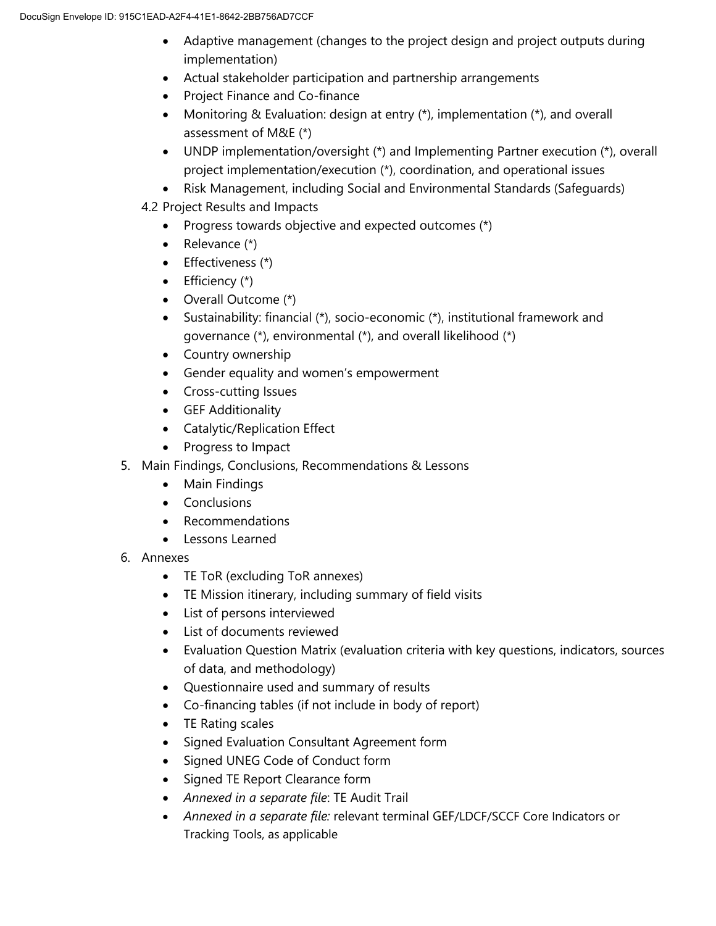- Adaptive management (changes to the project design and project outputs during implementation)
- Actual stakeholder participation and partnership arrangements
- Project Finance and Co-finance
- Monitoring & Evaluation: design at entry (\*), implementation (\*), and overall assessment of M&E (\*)
- UNDP implementation/oversight (\*) and Implementing Partner execution (\*), overall project implementation/execution (\*), coordination, and operational issues
- Risk Management, including Social and Environmental Standards (Safeguards)
- 4.2 Project Results and Impacts
	- Progress towards objective and expected outcomes  $(*)$
	- Relevance  $(*)$
	- $\bullet$  Effectiveness (\*)
	- $\bullet$  Efficiency  $(*)$
	- Overall Outcome (\*)
	- Sustainability: financial (\*), socio-economic (\*), institutional framework and governance (\*), environmental (\*), and overall likelihood (\*)
	- Country ownership
	- Gender equality and women's empowerment
	- Cross-cutting Issues
	- **•** GEF Additionality
	- Catalytic/Replication Effect
	- Progress to Impact
- 5. Main Findings, Conclusions, Recommendations & Lessons
	- Main Findings
	- Conclusions
	- Recommendations
	- Lessons Learned
- 6. Annexes
	- TE ToR (excluding ToR annexes)
	- TE Mission itinerary, including summary of field visits
	- List of persons interviewed
	- List of documents reviewed
	- Evaluation Question Matrix (evaluation criteria with key questions, indicators, sources of data, and methodology)
	- Questionnaire used and summary of results
	- Co-financing tables (if not include in body of report)
	- TE Rating scales
	- Signed Evaluation Consultant Agreement form
	- Signed UNEG Code of Conduct form
	- Signed TE Report Clearance form
	- *Annexed in a separate file*: TE Audit Trail
	- *Annexed in a separate file:* relevant terminal GEF/LDCF/SCCF Core Indicators or Tracking Tools, as applicable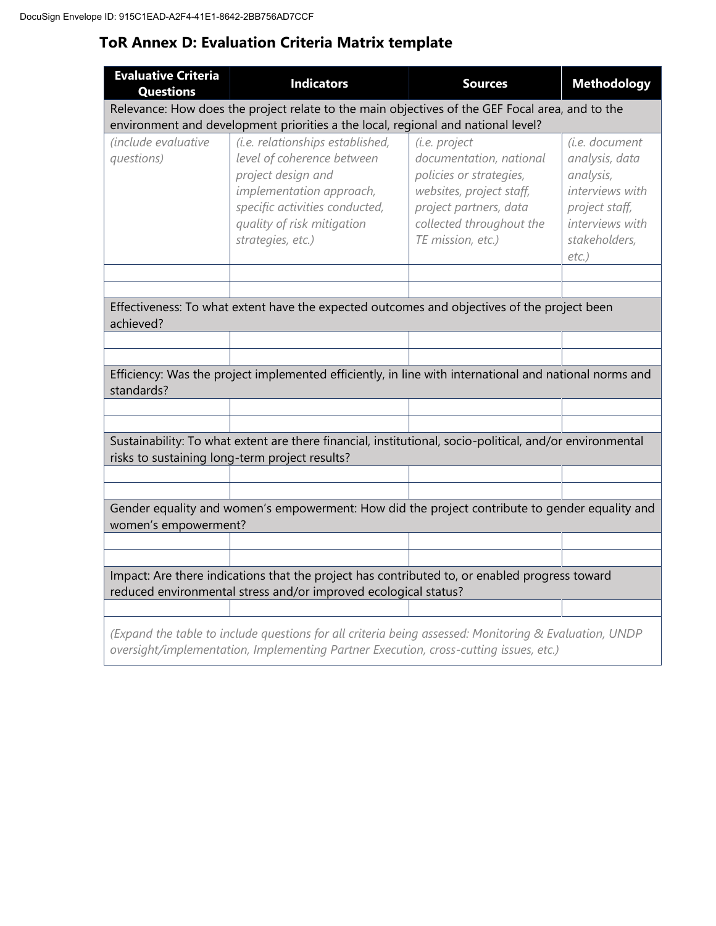# **ToR Annex D: Evaluation Criteria Matrix template**

| <b>Evaluative Criteria</b><br><b>Questions</b>                                                                                                                                      | <b>Indicators</b>                                                                                                                                                                                     | <b>Sources</b>                                                                                                                                                             | <b>Methodology</b>                                                                                                                 |  |  |
|-------------------------------------------------------------------------------------------------------------------------------------------------------------------------------------|-------------------------------------------------------------------------------------------------------------------------------------------------------------------------------------------------------|----------------------------------------------------------------------------------------------------------------------------------------------------------------------------|------------------------------------------------------------------------------------------------------------------------------------|--|--|
| Relevance: How does the project relate to the main objectives of the GEF Focal area, and to the<br>environment and development priorities a the local, regional and national level? |                                                                                                                                                                                                       |                                                                                                                                                                            |                                                                                                                                    |  |  |
| (include evaluative<br>questions)                                                                                                                                                   | (i.e. relationships established,<br>level of coherence between<br>project design and<br>implementation approach,<br>specific activities conducted,<br>quality of risk mitigation<br>strategies, etc.) | (i.e. project<br>documentation, national<br>policies or strategies,<br>websites, project staff,<br>project partners, data<br>collected throughout the<br>TE mission, etc.) | (i.e. document<br>analysis, data<br>analysis,<br>interviews with<br>project staff,<br>interviews with<br>stakeholders,<br>$etc.$ ) |  |  |
|                                                                                                                                                                                     |                                                                                                                                                                                                       |                                                                                                                                                                            |                                                                                                                                    |  |  |
| achieved?                                                                                                                                                                           | Effectiveness: To what extent have the expected outcomes and objectives of the project been                                                                                                           |                                                                                                                                                                            |                                                                                                                                    |  |  |
|                                                                                                                                                                                     |                                                                                                                                                                                                       |                                                                                                                                                                            |                                                                                                                                    |  |  |
| standards?                                                                                                                                                                          | Efficiency: Was the project implemented efficiently, in line with international and national norms and                                                                                                |                                                                                                                                                                            |                                                                                                                                    |  |  |
|                                                                                                                                                                                     |                                                                                                                                                                                                       |                                                                                                                                                                            |                                                                                                                                    |  |  |
|                                                                                                                                                                                     | Sustainability: To what extent are there financial, institutional, socio-political, and/or environmental<br>risks to sustaining long-term project results?                                            |                                                                                                                                                                            |                                                                                                                                    |  |  |
|                                                                                                                                                                                     |                                                                                                                                                                                                       |                                                                                                                                                                            |                                                                                                                                    |  |  |
| women's empowerment?                                                                                                                                                                | Gender equality and women's empowerment: How did the project contribute to gender equality and                                                                                                        |                                                                                                                                                                            |                                                                                                                                    |  |  |
|                                                                                                                                                                                     |                                                                                                                                                                                                       |                                                                                                                                                                            |                                                                                                                                    |  |  |
|                                                                                                                                                                                     |                                                                                                                                                                                                       |                                                                                                                                                                            |                                                                                                                                    |  |  |
|                                                                                                                                                                                     | Impact: Are there indications that the project has contributed to, or enabled progress toward<br>reduced environmental stress and/or improved ecological status?                                      |                                                                                                                                                                            |                                                                                                                                    |  |  |
|                                                                                                                                                                                     |                                                                                                                                                                                                       |                                                                                                                                                                            |                                                                                                                                    |  |  |
|                                                                                                                                                                                     | (Expand the table to include questions for all criteria being assessed: Monitoring & Evaluation, UNDP<br>oversight/implementation, Implementing Partner Execution, cross-cutting issues, etc.)        |                                                                                                                                                                            |                                                                                                                                    |  |  |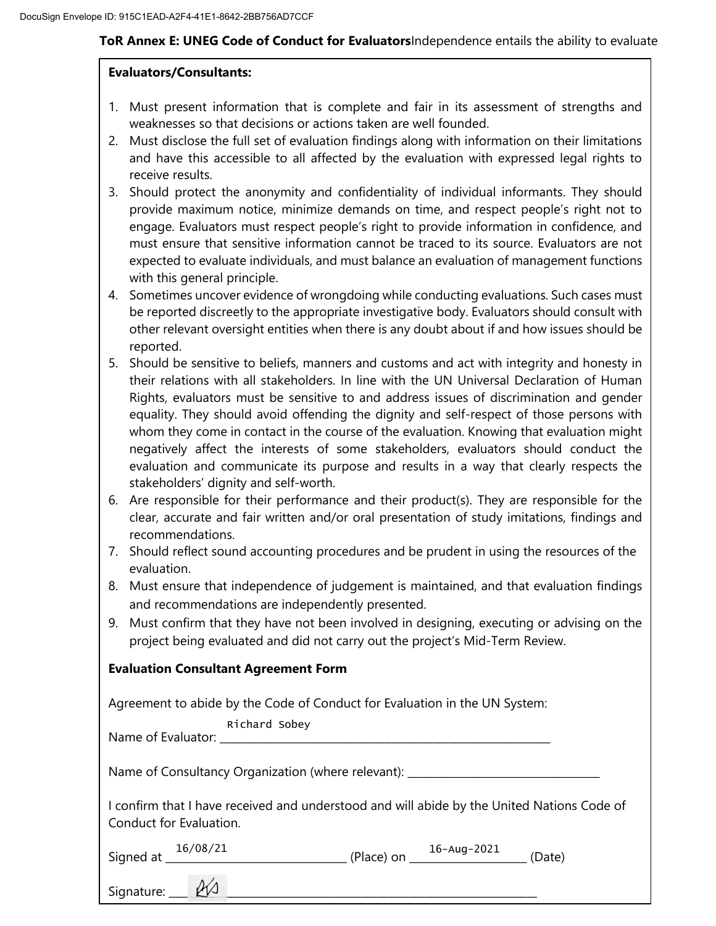## **ToR Annex E: UNEG Code of Conduct for Evaluators**Independence entails the ability to evaluate

## **Evaluators/Consultants:**

- 1. Must present information that is complete and fair in its assessment of strengths and weaknesses so that decisions or actions taken are well founded.
- 2. Must disclose the full set of evaluation findings along with information on their limitations and have this accessible to all affected by the evaluation with expressed legal rights to receive results.
- 3. Should protect the anonymity and confidentiality of individual informants. They should provide maximum notice, minimize demands on time, and respect people's right not to engage. Evaluators must respect people's right to provide information in confidence, and must ensure that sensitive information cannot be traced to its source. Evaluators are not expected to evaluate individuals, and must balance an evaluation of management functions with this general principle.
- 4. Sometimes uncover evidence of wrongdoing while conducting evaluations. Such cases must be reported discreetly to the appropriate investigative body. Evaluators should consult with other relevant oversight entities when there is any doubt about if and how issues should be reported.
- 5. Should be sensitive to beliefs, manners and customs and act with integrity and honesty in their relations with all stakeholders. In line with the UN Universal Declaration of Human Rights, evaluators must be sensitive to and address issues of discrimination and gender equality. They should avoid offending the dignity and self-respect of those persons with whom they come in contact in the course of the evaluation. Knowing that evaluation might negatively affect the interests of some stakeholders, evaluators should conduct the evaluation and communicate its purpose and results in a way that clearly respects the stakeholders' dignity and self-worth.
- 6. Are responsible for their performance and their product(s). They are responsible for the clear, accurate and fair written and/or oral presentation of study imitations, findings and recommendations.
- 7. Should reflect sound accounting procedures and be prudent in using the resources of the evaluation.
- 8. Must ensure that independence of judgement is maintained, and that evaluation findings and recommendations are independently presented.
- 9. Must confirm that they have not been involved in designing, executing or advising on the project being evaluated and did not carry out the project's Mid-Term Review.

# **Evaluation Consultant Agreement Form**

Agreement to abide by the Code of Conduct for Evaluation in the UN System:

Richard Sobey

Name of Evaluator: \_\_\_\_\_\_\_\_\_\_\_\_\_\_\_\_\_\_\_\_\_\_\_\_\_\_\_\_\_\_\_\_\_\_\_\_\_\_\_\_\_\_\_\_\_\_\_\_\_\_\_\_\_\_\_\_\_\_\_\_\_\_

Name of Consultancy Organization (where relevant): \_\_\_\_\_\_\_\_\_\_\_\_\_\_\_\_\_\_\_\_\_\_\_\_\_\_\_\_\_

| I confirm that I have received and understood and will abide by the United Nations Code of |  |
|--------------------------------------------------------------------------------------------|--|
| Conduct for Evaluation.                                                                    |  |

|           | 16/08/21 |            | $16 - Aug - 2021$ |        |
|-----------|----------|------------|-------------------|--------|
| Signed at |          | (Place) on |                   | (Date) |

 $Signature: \_\_\_M$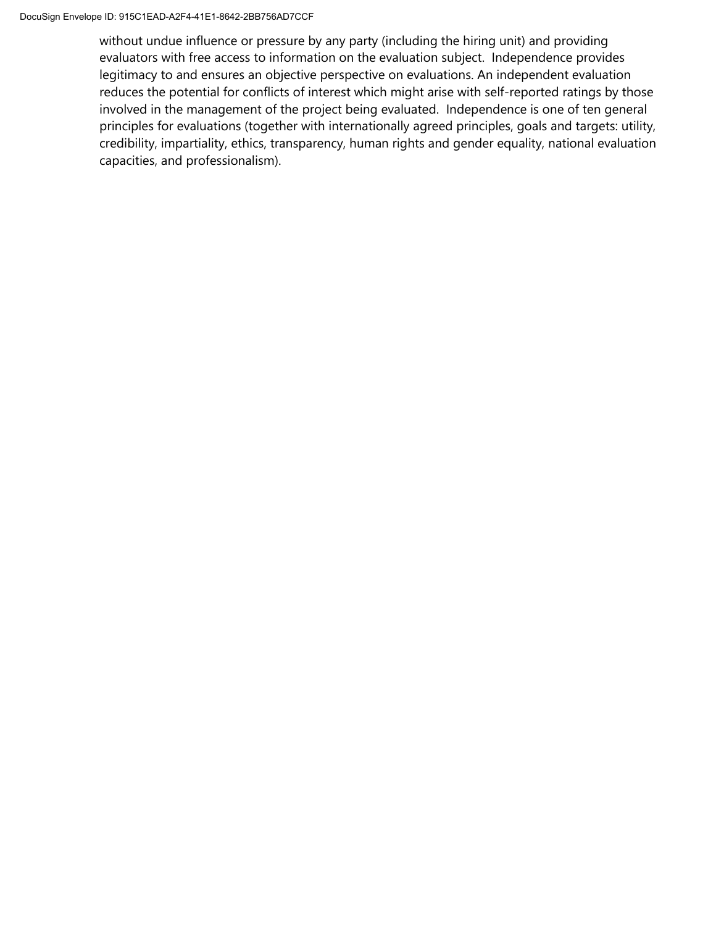without undue influence or pressure by any party (including the hiring unit) and providing evaluators with free access to information on the evaluation subject. Independence provides legitimacy to and ensures an objective perspective on evaluations. An independent evaluation reduces the potential for conflicts of interest which might arise with self-reported ratings by those involved in the management of the project being evaluated. Independence is one of ten general principles for evaluations (together with internationally agreed principles, goals and targets: utility, credibility, impartiality, ethics, transparency, human rights and gender equality, national evaluation capacities, and professionalism).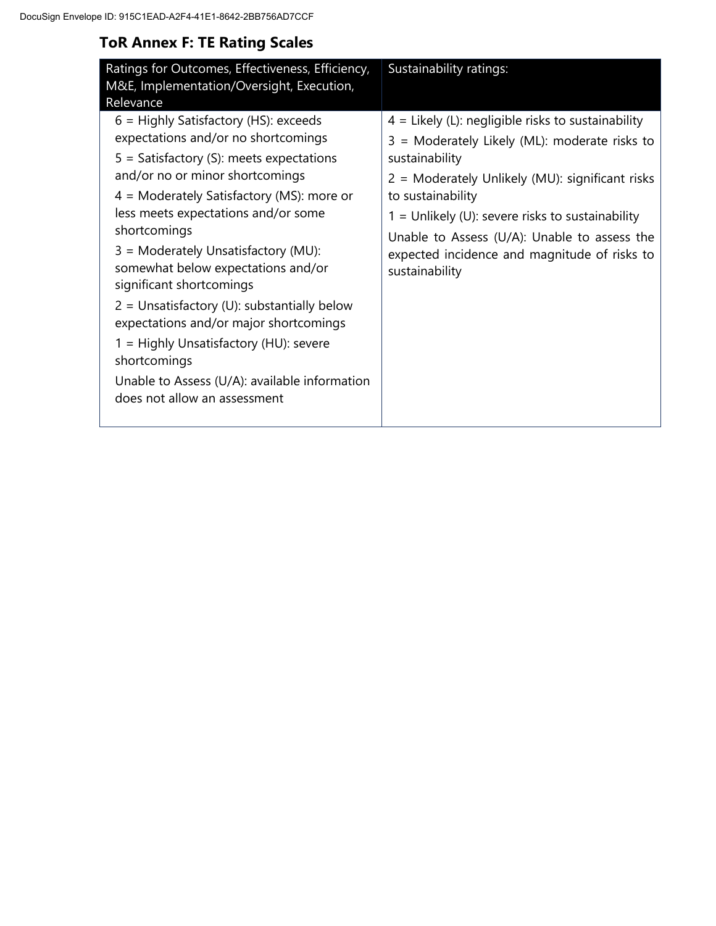# **ToR Annex F: TE Rating Scales**

| Ratings for Outcomes, Effectiveness, Efficiency,<br>M&E, Implementation/Oversight, Execution,<br>Relevance                                                                                                                                                                                                                                                                                                                                                                                                                                                                                                           | Sustainability ratings:                                                                                                                                                                                                                                                                                                                                                 |
|----------------------------------------------------------------------------------------------------------------------------------------------------------------------------------------------------------------------------------------------------------------------------------------------------------------------------------------------------------------------------------------------------------------------------------------------------------------------------------------------------------------------------------------------------------------------------------------------------------------------|-------------------------------------------------------------------------------------------------------------------------------------------------------------------------------------------------------------------------------------------------------------------------------------------------------------------------------------------------------------------------|
| $6$ = Highly Satisfactory (HS): exceeds<br>expectations and/or no shortcomings<br>$5 =$ Satisfactory (S): meets expectations<br>and/or no or minor shortcomings<br>4 = Moderately Satisfactory (MS): more or<br>less meets expectations and/or some<br>shortcomings<br>$3 =$ Moderately Unsatisfactory (MU):<br>somewhat below expectations and/or<br>significant shortcomings<br>$2 =$ Unsatisfactory (U): substantially below<br>expectations and/or major shortcomings<br>1 = Highly Unsatisfactory (HU): severe<br>shortcomings<br>Unable to Assess (U/A): available information<br>does not allow an assessment | $4$ = Likely (L): negligible risks to sustainability<br>3 = Moderately Likely (ML): moderate risks to<br>sustainability<br>2 = Moderately Unlikely (MU): significant risks<br>to sustainability<br>$1 =$ Unlikely (U): severe risks to sustainability<br>Unable to Assess (U/A): Unable to assess the<br>expected incidence and magnitude of risks to<br>sustainability |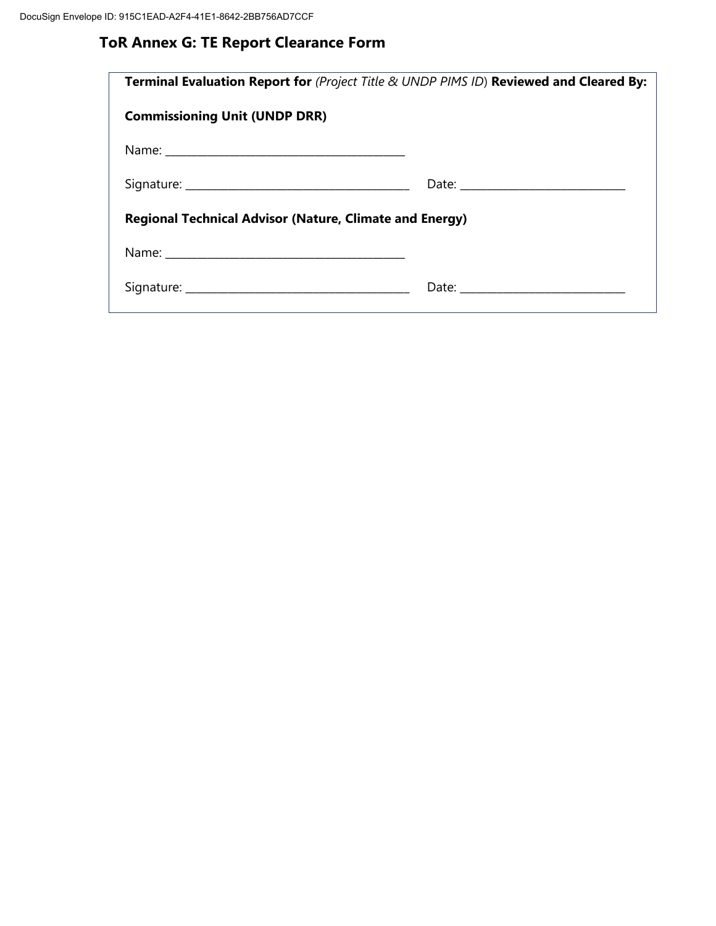# **ToR Annex G: TE Report Clearance Form**

| <b>Terminal Evaluation Report for (Project Title &amp; UNDP PIMS ID) Reviewed and Cleared By:</b> |
|---------------------------------------------------------------------------------------------------|
|                                                                                                   |
|                                                                                                   |
|                                                                                                   |
| <b>Regional Technical Advisor (Nature, Climate and Energy)</b>                                    |
|                                                                                                   |
|                                                                                                   |
|                                                                                                   |